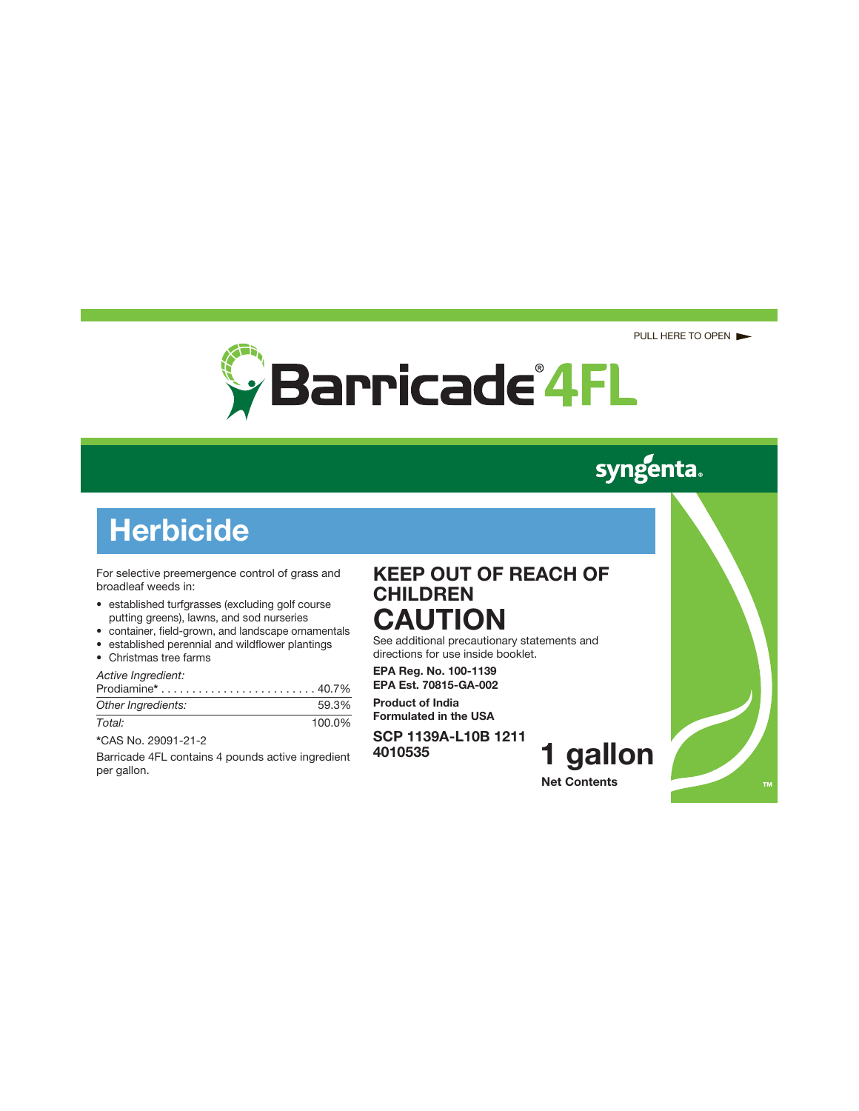PULL HERE TO OPEN



# syngenta.

# **Herbicide**

For selective preemergence control of grass and broadleaf weeds in:

- established turfgrasses (excluding golf course putting greens), lawns, and sod nurseries
- container, field-grown, and landscape ornamentals
- established perennial and wildflower plantings
- Christmas tree farms

## *Active Ingredient:*

| Other Ingredients: | 59.3%  |
|--------------------|--------|
| Total:             | 100.0% |

**\***CAS No. 29091-21-2

Barricade 4FL contains 4 pounds active ingredient 4010535<br>Per gallon.

## **KEEP OUT OF REACH OF CHILDREN CAUTION**

See additional precautionary statements and directions for use inside booklet.

**Net Contents**

**EPA Reg. No. 100-1139 EPA Est. 70815-GA-002**

**Product of India Formulated in the USA**

**SCP 1139A-L10B 1211 4010535**

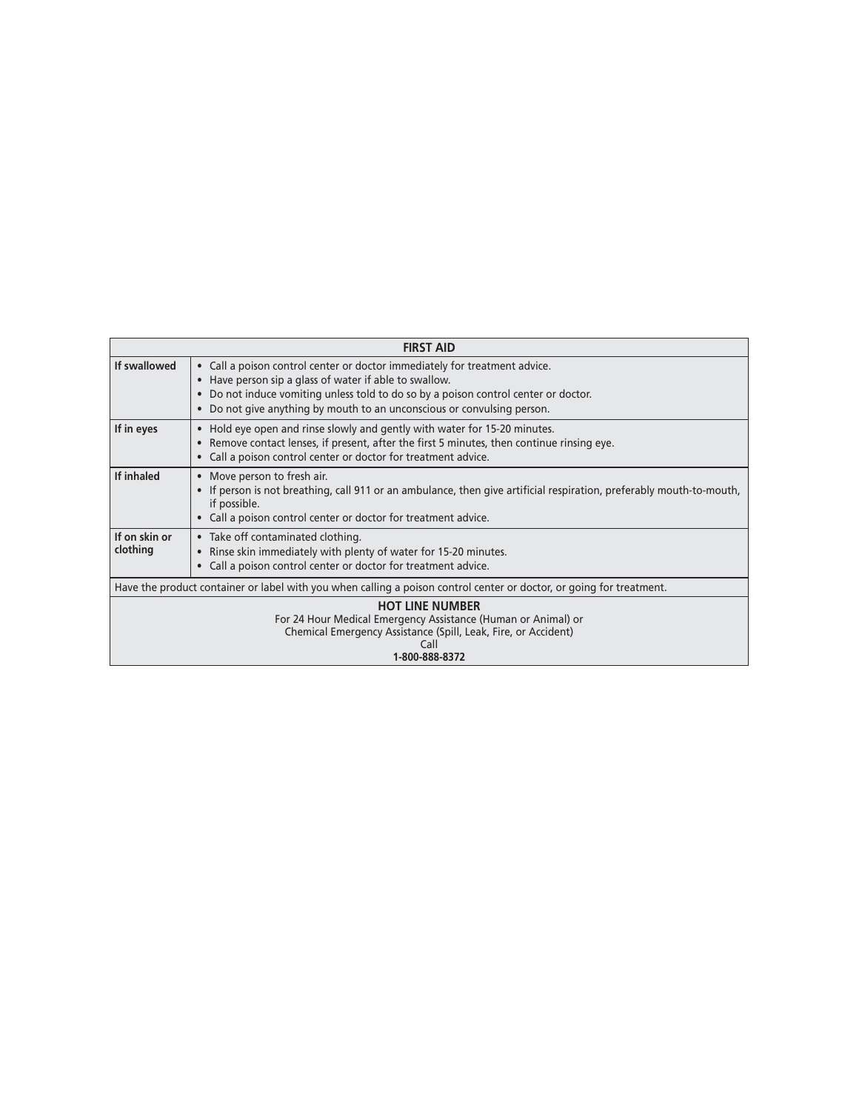|                                                                                                                                                                                    | <b>FIRST AID</b>                                                                                                                                                                                                                                                                                 |  |  |  |
|------------------------------------------------------------------------------------------------------------------------------------------------------------------------------------|--------------------------------------------------------------------------------------------------------------------------------------------------------------------------------------------------------------------------------------------------------------------------------------------------|--|--|--|
| If swallowed                                                                                                                                                                       | • Call a poison control center or doctor immediately for treatment advice.<br>Have person sip a glass of water if able to swallow.<br>Do not induce vomiting unless told to do so by a poison control center or doctor.<br>Do not give anything by mouth to an unconscious or convulsing person. |  |  |  |
| If in eyes                                                                                                                                                                         | Hold eye open and rinse slowly and gently with water for 15-20 minutes.<br>$\bullet$<br>Remove contact lenses, if present, after the first 5 minutes, then continue rinsing eye.<br>Call a poison control center or doctor for treatment advice.                                                 |  |  |  |
| If inhaled                                                                                                                                                                         | Move person to fresh air.<br>$\bullet$<br>If person is not breathing, call 911 or an ambulance, then give artificial respiration, preferably mouth-to-mouth,<br>if possible.<br>Call a poison control center or doctor for treatment advice.                                                     |  |  |  |
| If on skin or<br>clothing                                                                                                                                                          | • Take off contaminated clothing.<br>Rinse skin immediately with plenty of water for 15-20 minutes.<br>$\bullet$<br>Call a poison control center or doctor for treatment advice.                                                                                                                 |  |  |  |
|                                                                                                                                                                                    | Have the product container or label with you when calling a poison control center or doctor, or going for treatment.                                                                                                                                                                             |  |  |  |
| <b>HOT LINE NUMBER</b><br>For 24 Hour Medical Emergency Assistance (Human or Animal) or<br>Chemical Emergency Assistance (Spill, Leak, Fire, or Accident)<br>Cal<br>1-800-888-8372 |                                                                                                                                                                                                                                                                                                  |  |  |  |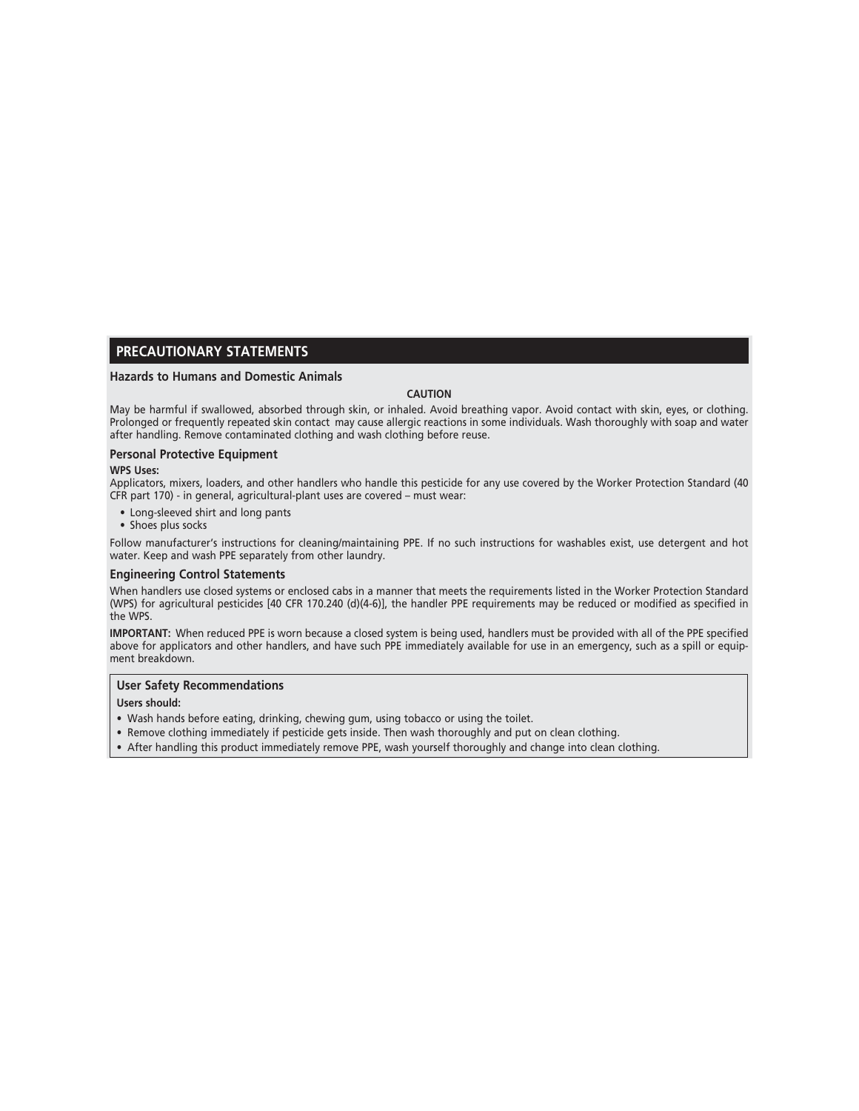## **PRECAUTIONARY STATEMENTS**

### **Hazards to Humans and Domestic Animals**

#### **CAUTION**

May be harmful if swallowed, absorbed through skin, or inhaled. Avoid breathing vapor. Avoid contact with skin, eyes, or clothing. Prolonged or frequently repeated skin contact may cause allergic reactions in some individuals. Wash thoroughly with soap and water after handling. Remove contaminated clothing and wash clothing before reuse.

#### **Personal Protective Equipment**

#### **WPS Uses:**

Applicators, mixers, loaders, and other handlers who handle this pesticide for any use covered by the Worker Protection Standard (40 CFR part 170) - in general, agricultural-plant uses are covered – must wear:

- Long-sleeved shirt and long pants
- Shoes plus socks

Follow manufacturer's instructions for cleaning/maintaining PPE. If no such instructions for washables exist, use detergent and hot water. Keep and wash PPE separately from other laundry.

#### **Engineering Control Statements**

When handlers use closed systems or enclosed cabs in a manner that meets the requirements listed in the Worker Protection Standard (WPS) for agricultural pesticides [40 CFR 170.240 (d)(4-6)], the handler PPE requirements may be reduced or modified as specified in the WPS.

**IMPORTANT:** When reduced PPE is worn because a closed system is being used, handlers must be provided with all of the PPE specified above for applicators and other handlers, and have such PPE immediately available for use in an emergency, such as a spill or equipment breakdown.

### **User Safety Recommendations**

**Users should:**

- Wash hands before eating, drinking, chewing gum, using tobacco or using the toilet.
- Remove clothing immediately if pesticide gets inside. Then wash thoroughly and put on clean clothing.
- After handling this product immediately remove PPE, wash yourself thoroughly and change into clean clothing.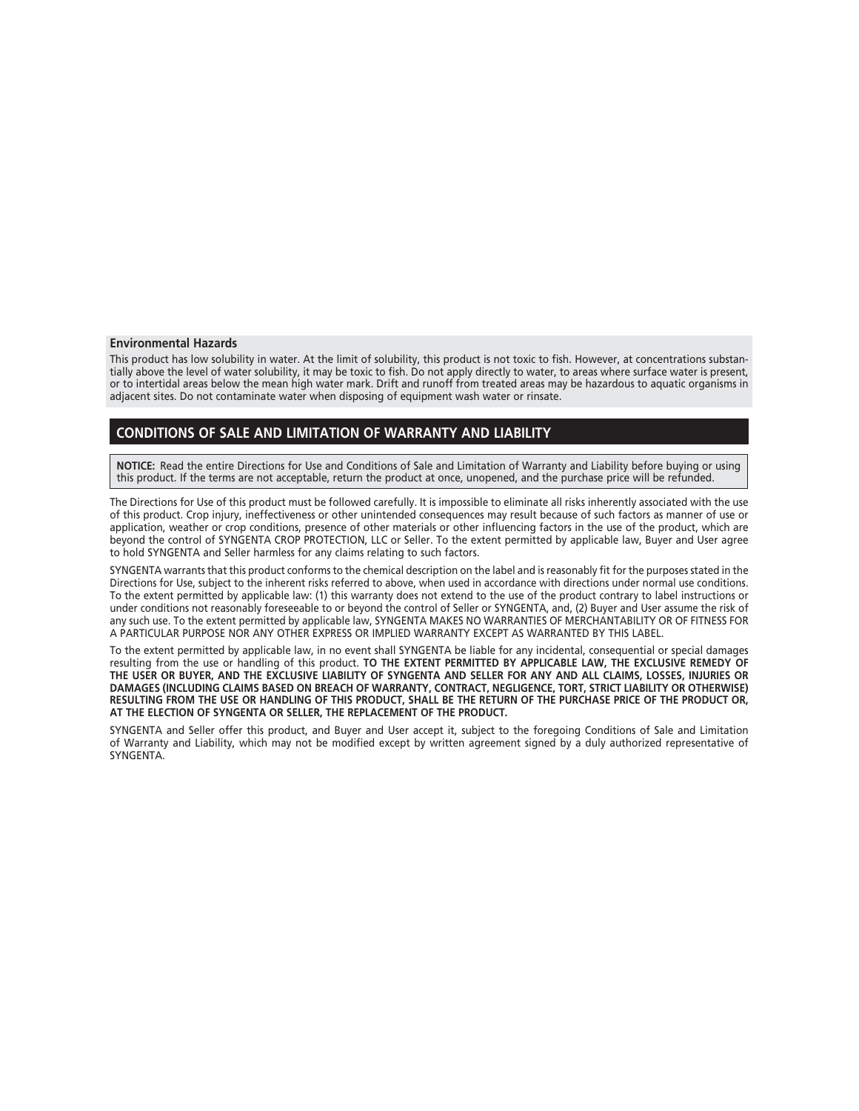## **Environmental Hazards**

This product has low solubility in water. At the limit of solubility, this product is not toxic to fish. However, at concentrations substantially above the level of water solubility, it may be toxic to fish. Do not apply directly to water, to areas where surface water is present, or to intertidal areas below the mean high water mark. Drift and runoff from treated areas may be hazardous to aquatic organisms in adjacent sites. Do not contaminate water when disposing of equipment wash water or rinsate.

## **CONDITIONS OF SALE AND LIMITATION OF WARRANTY AND LIABILITY**

**NOTICE:** Read the entire Directions for Use and Conditions of Sale and Limitation of Warranty and Liability before buying or using this product. If the terms are not acceptable, return the product at once, unopened, and the purchase price will be refunded.

The Directions for Use of this product must be followed carefully. It is impossible to eliminate all risks inherently associated with the use of this product. Crop injury, ineffectiveness or other unintended consequences may result because of such factors as manner of use or application, weather or crop conditions, presence of other materials or other influencing factors in the use of the product, which are beyond the control of SYNGENTA CROP PROTECTION, LLC or Seller. To the extent permitted by applicable law, Buyer and User agree to hold SYNGENTA and Seller harmless for any claims relating to such factors.

SYNGENTA warrants that this product conforms to the chemical description on the label and is reasonably fit for the purposes stated in the Directions for Use, subject to the inherent risks referred to above, when used in accordance with directions under normal use conditions. To the extent permitted by applicable law: (1) this warranty does not extend to the use of the product contrary to label instructions or under conditions not reasonably foreseeable to or beyond the control of Seller or SYNGENTA, and, (2) Buyer and User assume the risk of any such use. To the extent permitted by applicable law, SYNGENTA MAKES NO WARRANTIES OF MERCHANTABILITY OR OF FITNESS FOR A PARTICULAR PURPOSE NOR ANY OTHER EXPRESS OR IMPLIED WARRANTY EXCEPT AS WARRANTED BY THIS LABEL.

To the extent permitted by applicable law, in no event shall SYNGENTA be liable for any incidental, consequential or special damages resulting from the use or handling of this product. **TO THE EXTENT PERMITTED BY APPLICABLE LAW, THE EXCLUSIVE REMEDY OF THE USER OR BUYER, AND THE EXCLUSIVE LIABILITY OF SYNGENTA AND SELLER FOR ANY AND ALL CLAIMS, LOSSES, INJURIES OR DAMAGES (INCLUDING CLAIMS BASED ON BREACH OF WARRANTY, CONTRACT, NEGLIGENCE, TORT, STRICT LIABILITY OR OTHERWISE) RESULTING FROM THE USE OR HANDLING OF THIS PRODUCT, SHALL BE THE RETURN OF THE PURCHASE PRICE OF THE PRODUCT OR, AT THE ELECTION OF SYNGENTA OR SELLER, THE REPLACEMENT OF THE PRODUCT.**

SYNGENTA and Seller offer this product, and Buyer and User accept it, subject to the foregoing Conditions of Sale and Limitation of Warranty and Liability, which may not be modified except by written agreement signed by a duly authorized representative of SYNGENTA.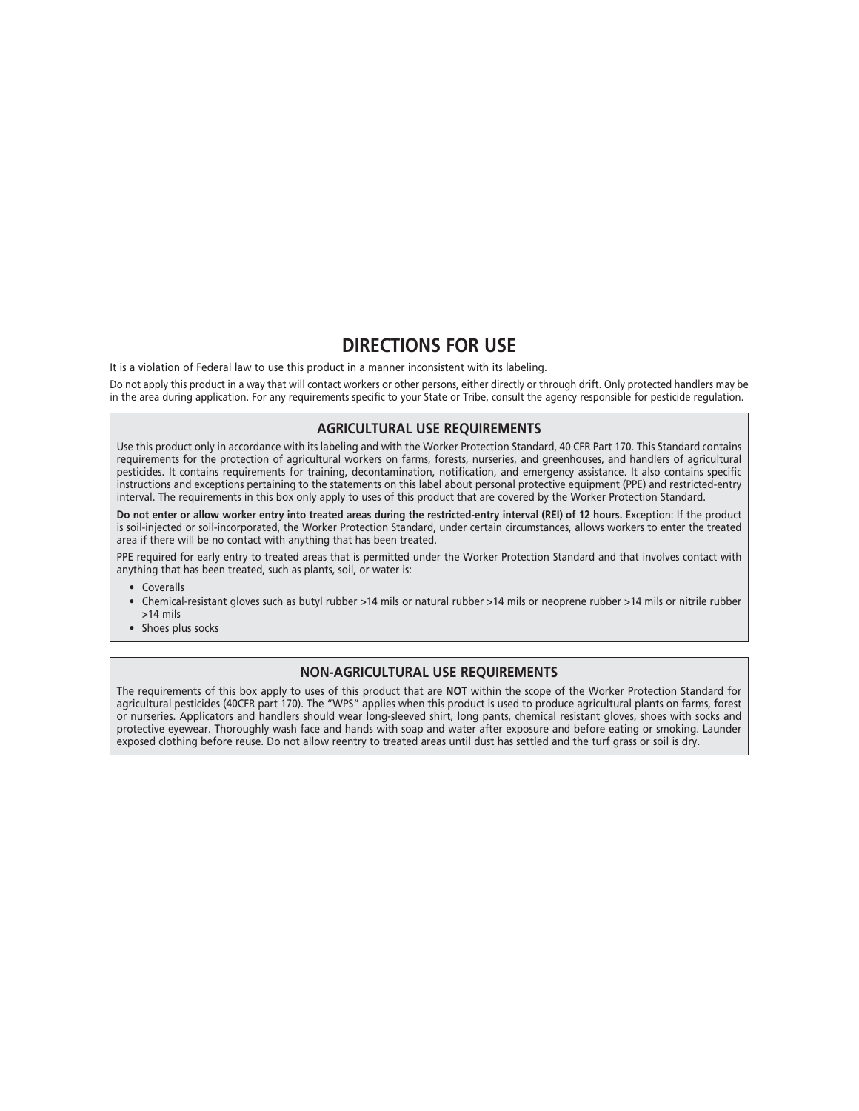## **DIRECTIONS FOR USE**

It is a violation of Federal law to use this product in a manner inconsistent with its labeling.

Do not apply this product in a way that will contact workers or other persons, either directly or through drift. Only protected handlers may be in the area during application. For any requirements specific to your State or Tribe, consult the agency responsible for pesticide regulation.

## **AGRICULTURAL USE REQUIREMENTS**

Use this product only in accordance with its labeling and with the Worker Protection Standard, 40 CFR Part 170. This Standard contains requirements for the protection of agricultural workers on farms, forests, nurseries, and greenhouses, and handlers of agricultural pesticides. It contains requirements for training, decontamination, notification, and emergency assistance. It also contains specific instructions and exceptions pertaining to the statements on this label about personal protective equipment (PPE) and restricted-entry interval. The requirements in this box only apply to uses of this product that are covered by the Worker Protection Standard.

Do not enter or allow worker entry into treated areas during the restricted-entry interval (REI) of 12 hours. Exception: If the product is soil-injected or soil-incorporated, the Worker Protection Standard, under certain circumstances, allows workers to enter the treated area if there will be no contact with anything that has been treated.

PPE required for early entry to treated areas that is permitted under the Worker Protection Standard and that involves contact with anything that has been treated, such as plants, soil, or water is:

**Coveralls** 

- Chemical-resistant gloves such as butyl rubber >14 mils or natural rubber >14 mils or neoprene rubber >14 mils or nitrile rubber >14 mils
- Shoes plus socks

## **NON-AGRICULTURAL USE REQUIREMENTS**

The requirements of this box apply to uses of this product that are **NOT** within the scope of the Worker Protection Standard for agricultural pesticides (40CFR part 170). The "WPS" applies when this product is used to produce agricultural plants on farms, forest or nurseries. Applicators and handlers should wear long-sleeved shirt, long pants, chemical resistant gloves, shoes with socks and protective eyewear. Thoroughly wash face and hands with soap and water after exposure and before eating or smoking. Launder exposed clothing before reuse. Do not allow reentry to treated areas until dust has settled and the turf grass or soil is dry.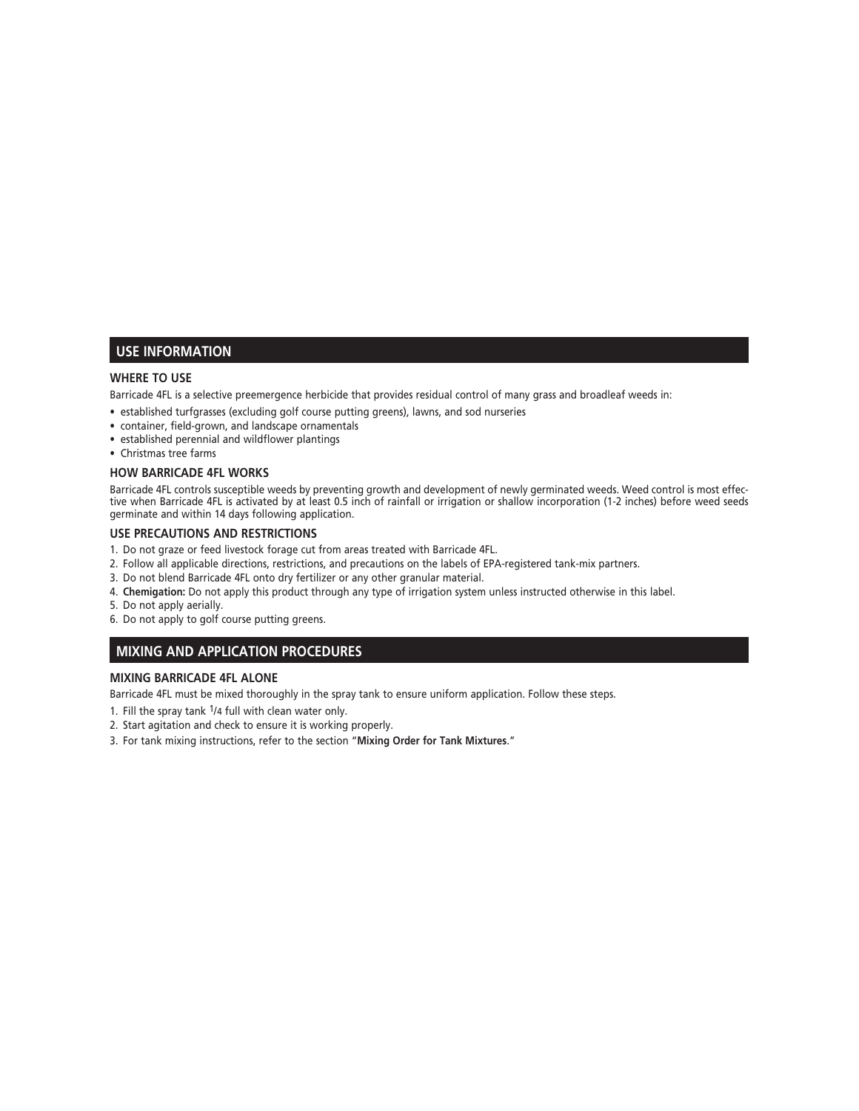## **USE INFORMATION**

## **WHERE TO USE**

Barricade 4FL is a selective preemergence herbicide that provides residual control of many grass and broadleaf weeds in:

- established turfgrasses (excluding golf course putting greens), lawns, and sod nurseries
- container, field-grown, and landscape ornamentals
- established perennial and wildflower plantings
- Christmas tree farms

### **HOW BARRICADE 4FL WORKS**

Barricade 4FL controls susceptible weeds by preventing growth and development of newly germinated weeds. Weed control is most effective when Barricade 4FL is activated by at least 0.5 inch of rainfall or irrigation or shallow incorporation (1-2 inches) before weed seeds germinate and within 14 days following application.

#### **USE PRECAUTIONS AND RESTRICTIONS**

- 1. Do not graze or feed livestock forage cut from areas treated with Barricade 4FL.
- 2. Follow all applicable directions, restrictions, and precautions on the labels of EPA-registered tank-mix partners.
- 3. Do not blend Barricade 4FL onto dry fertilizer or any other granular material.
- 4. **Chemigation:** Do not apply this product through any type of irrigation system unless instructed otherwise in this label.
- 5. Do not apply aerially.
- 6. Do not apply to golf course putting greens.

## **MIXING AND APPLICATION PROCEDURES**

## **MIXING BARRICADE 4FL ALONE**

Barricade 4FL must be mixed thoroughly in the spray tank to ensure uniform application. Follow these steps.

- 1. Fill the spray tank  $1/4$  full with clean water only.
- 2. Start agitation and check to ensure it is working properly.
- 3. For tank mixing instructions, refer to the section "**Mixing Order for Tank Mixtures**."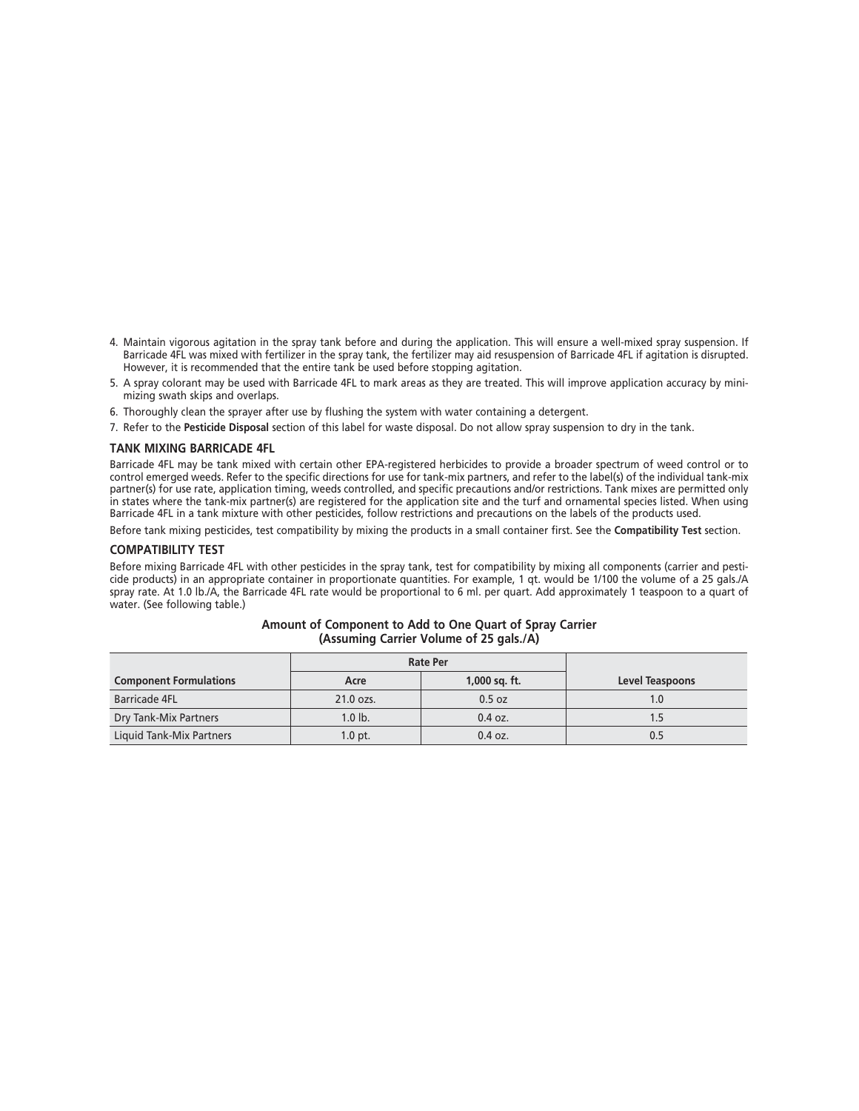- 4. Maintain vigorous agitation in the spray tank before and during the application. This will ensure a well-mixed spray suspension. If Barricade 4FL was mixed with fertilizer in the spray tank, the fertilizer may aid resuspension of Barricade 4FL if agitation is disrupted. However, it is recommended that the entire tank be used before stopping agitation.
- 5. A spray colorant may be used with Barricade 4FL to mark areas as they are treated. This will improve application accuracy by minimizing swath skips and overlaps.
- 6. Thoroughly clean the sprayer after use by flushing the system with water containing a detergent.
- 7. Refer to the **Pesticide Disposal** section of this label for waste disposal. Do not allow spray suspension to dry in the tank.

#### **TANK MIXING BARRICADE 4FL**

Barricade 4FL may be tank mixed with certain other EPA-registered herbicides to provide a broader spectrum of weed control or to control emerged weeds. Refer to the specific directions for use for tank-mix partners, and refer to the label(s) of the individual tank-mix partner(s) for use rate, application timing, weeds controlled, and specific precautions and/or restrictions. Tank mixes are permitted only in states where the tank-mix partner(s) are registered for the application site and the turf and ornamental species listed. When using Barricade 4FL in a tank mixture with other pesticides, follow restrictions and precautions on the labels of the products used.

Before tank mixing pesticides, test compatibility by mixing the products in a small container first. See the **Compatibility Test** section.

#### **COMPATIBILITY TEST**

Before mixing Barricade 4FL with other pesticides in the spray tank, test for compatibility by mixing all components (carrier and pesticide products) in an appropriate container in proportionate quantities. For example, 1 qt. would be 1/100 the volume of a 25 gals./A spray rate. At 1.0 lb./A, the Barricade 4FL rate would be proportional to 6 ml. per quart. Add approximately 1 teaspoon to a quart of water. (See following table.)

|                               | <b>Rate Per</b> |                 |                 |
|-------------------------------|-----------------|-----------------|-----------------|
| <b>Component Formulations</b> | Acre            | $1,000$ sq. ft. | Level Teaspoons |
| Barricade 4FL                 | 21.0 ozs.       | 0.5 oz          | 1.0             |
| Dry Tank-Mix Partners         | $1.0$ lb.       | $0.4$ oz.       | 1.5             |
| Liquid Tank-Mix Partners      | $1.0$ pt.       | $0.4$ oz.       | 0.5             |

#### **Amount of Component to Add to One Quart of Spray Carrier (Assuming Carrier Volume of 25 gals./A)**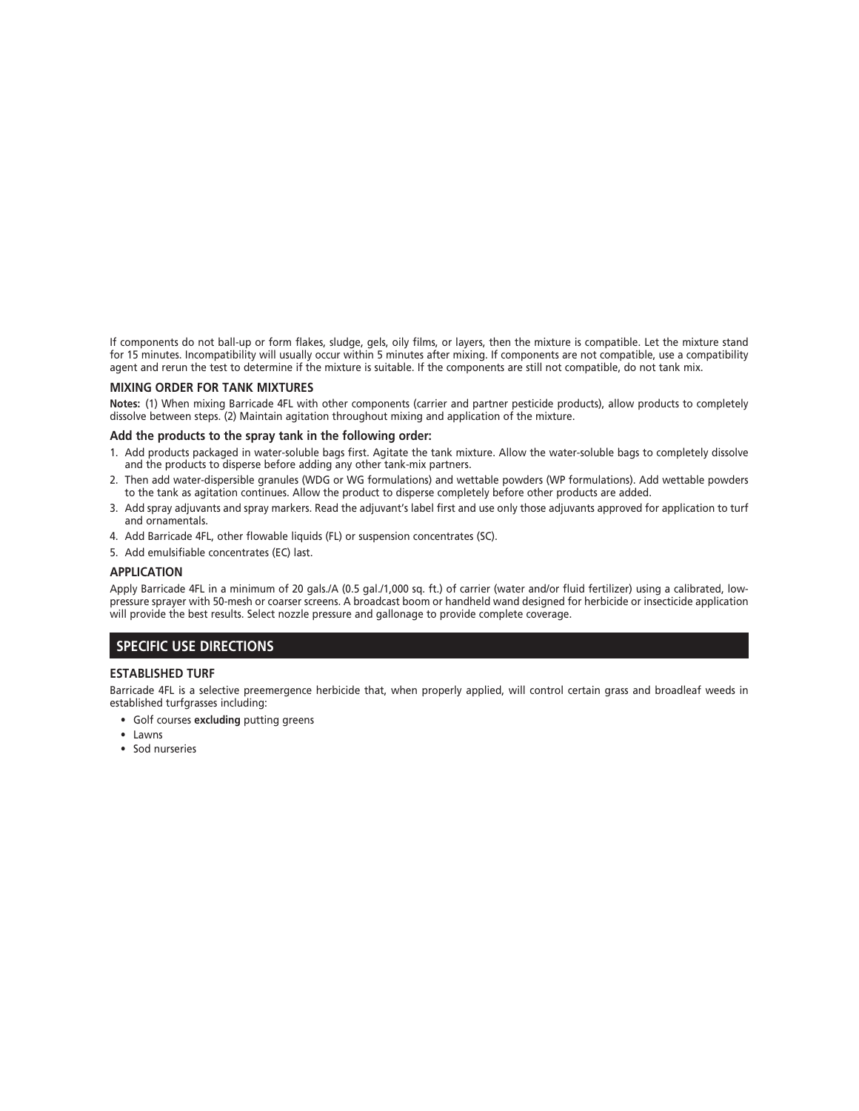If components do not ball-up or form flakes, sludge, gels, oily films, or layers, then the mixture is compatible. Let the mixture stand for 15 minutes. Incompatibility will usually occur within 5 minutes after mixing. If components are not compatible, use a compatibility agent and rerun the test to determine if the mixture is suitable. If the components are still not compatible, do not tank mix.

### **MIXING ORDER FOR TANK MIXTURES**

**Notes:** (1) When mixing Barricade 4FL with other components (carrier and partner pesticide products), allow products to completely dissolve between steps. (2) Maintain agitation throughout mixing and application of the mixture.

#### **Add the products to the spray tank in the following order:**

- 1. Add products packaged in water-soluble bags first. Agitate the tank mixture. Allow the water-soluble bags to completely dissolve and the products to disperse before adding any other tank-mix partners.
- 2. Then add water-dispersible granules (WDG or WG formulations) and wettable powders (WP formulations). Add wettable powders to the tank as agitation continues. Allow the product to disperse completely before other products are added.
- 3. Add spray adjuvants and spray markers. Read the adjuvant's label first and use only those adjuvants approved for application to turf and ornamentals.
- 4. Add Barricade 4FL, other flowable liquids (FL) or suspension concentrates (SC).
- 5. Add emulsifiable concentrates (EC) last.

#### **APPLICATION**

Apply Barricade 4FL in a minimum of 20 gals./A (0.5 gal./1,000 sq. ft.) of carrier (water and/or fluid fertilizer) using a calibrated, lowpressure sprayer with 50-mesh or coarser screens. A broadcast boom or handheld wand designed for herbicide or insecticide application will provide the best results. Select nozzle pressure and gallonage to provide complete coverage.

## **SPECIFIC USE DIRECTIONS**

## **ESTABLISHED TURF**

Barricade 4FL is a selective preemergence herbicide that, when properly applied, will control certain grass and broadleaf weeds in established turfgrasses including:

- Golf courses **excluding** putting greens
- Lawns
- Sod nurseries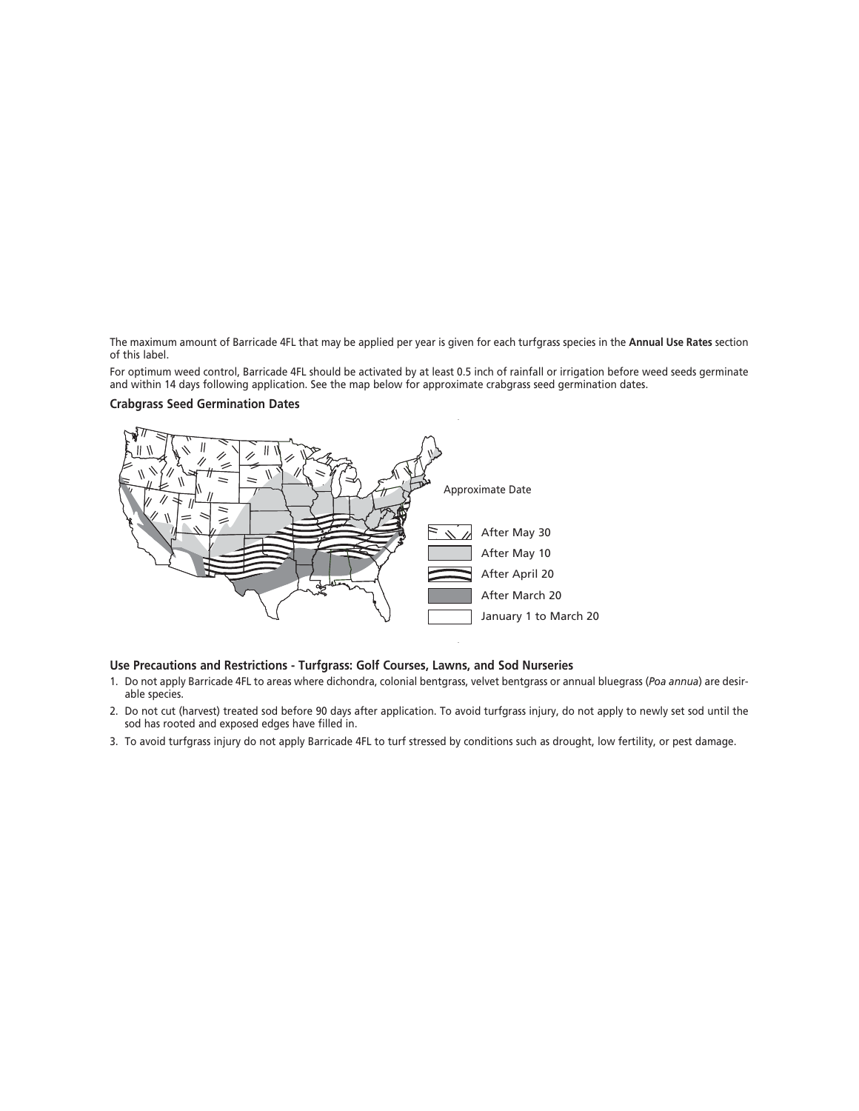The maximum amount of Barricade 4FL that may be applied per year is given for each turfgrass species in the **Annual Use Rates** section of this label.

For optimum weed control, Barricade 4FL should be activated by at least 0.5 inch of rainfall or irrigation before weed seeds germinate and within 14 days following application. See the map below for approximate crabgrass seed germination dates.

## **Crabgrass Seed Germination Dates**



## **Use Precautions and Restrictions - Turfgrass: Golf Courses, Lawns, and Sod Nurseries**

- 1. Do not apply Barricade 4FL to areas where dichondra, colonial bentgrass, velvet bentgrass or annual bluegrass (*Poa annua*) are desirable species.
- 2. Do not cut (harvest) treated sod before 90 days after application. To avoid turfgrass injury, do not apply to newly set sod until the sod has rooted and exposed edges have filled in.
- 3. To avoid turfgrass injury do not apply Barricade 4FL to turf stressed by conditions such as drought, low fertility, or pest damage.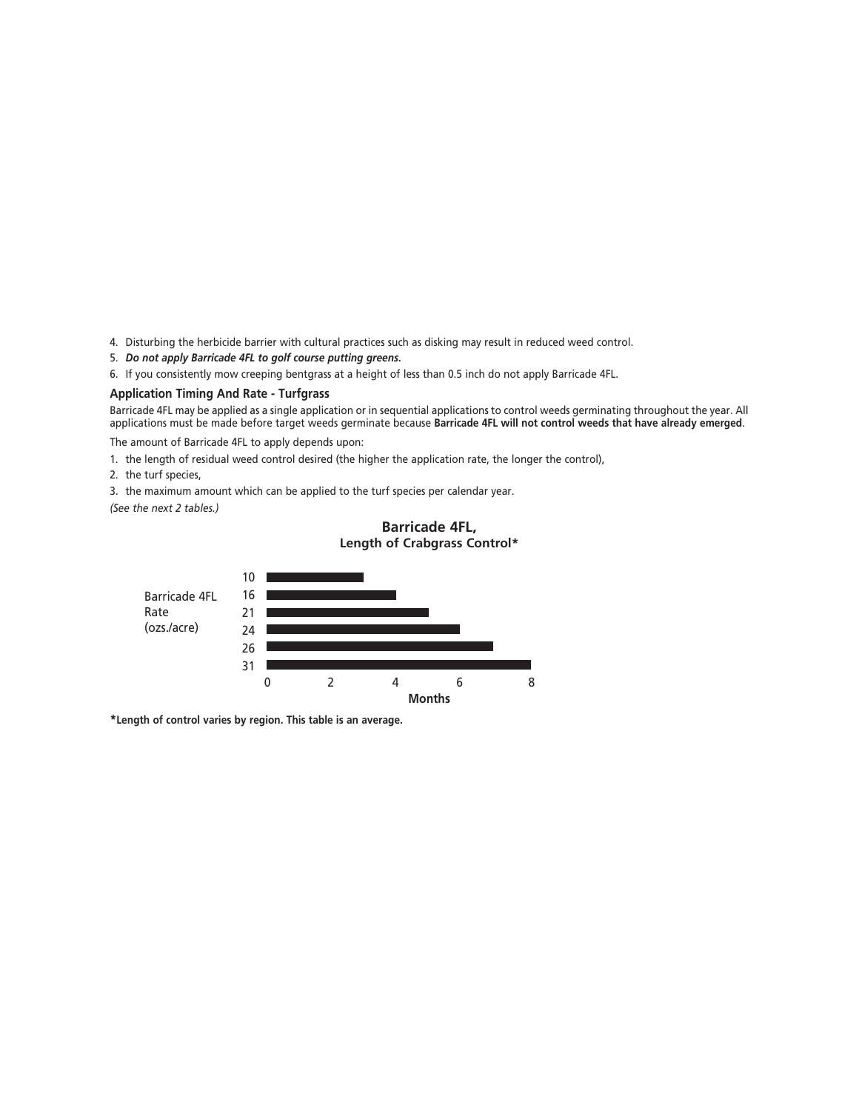4. Disturbing the herbicide barrier with cultural practices such as disking may result in reduced weed control.

- 5. *Do not apply Barricade 4FL to golf course putting greens.*
- 6. If you consistently mow creeping bentgrass at a height of less than 0.5 inch do not apply Barricade 4FL.

## **Application Timing And Rate - Turfgrass**

Barricade 4FL may be applied as a single application or in sequential applications to control weeds germinating throughout the year. All applications must be made before target weeds germinate because **Barricade 4FL will not control weeds that have already emerged**.

The amount of Barricade 4FL to apply depends upon:

1. the length of residual weed control desired (the higher the application rate, the longer the control),

2. the turf species,

3. the maximum amount which can be applied to the turf species per calendar year. *(See the next 2 tables.)*

## **Barricade 4FL, Length of Crabgrass Control\***



**\*Length of control varies by region. This table is an average.**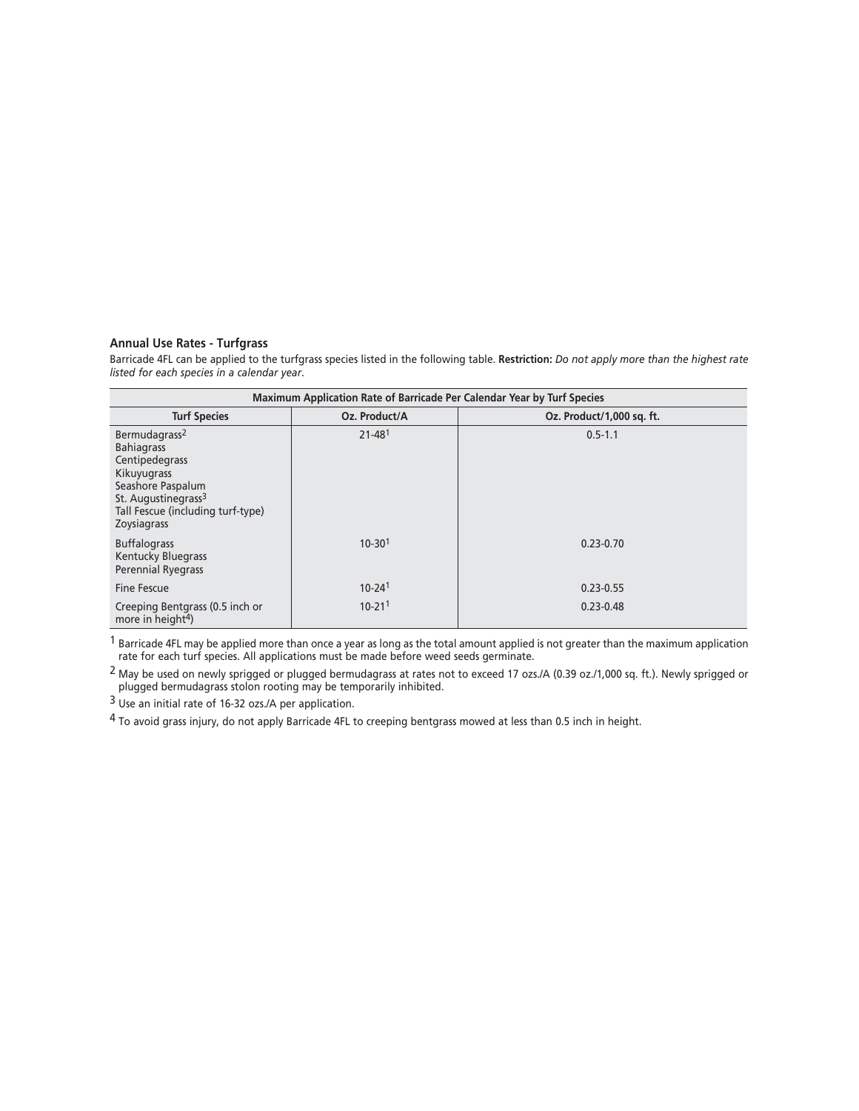## **Annual Use Rates - Turfgrass**

Barricade 4FL can be applied to the turfgrass species listed in the following table. **Restriction:** *Do not apply more than the highest rate listed for each species in a calendar year*.

| Maximum Application Rate of Barricade Per Calendar Year by Turf Species                                                                                                                     |               |                           |  |  |
|---------------------------------------------------------------------------------------------------------------------------------------------------------------------------------------------|---------------|---------------------------|--|--|
| <b>Turf Species</b>                                                                                                                                                                         | Oz. Product/A | Oz. Product/1,000 sq. ft. |  |  |
| Bermudagrass <sup>2</sup><br>Bahiagrass<br>Centipedegrass<br>Kikuyugrass<br>Seashore Paspalum<br>St. Augustinegrass <sup>3</sup><br>Tall Fescue (including turf-type)<br><b>Zoysiagrass</b> | $21 - 481$    | $0.5 - 1.1$               |  |  |
| <b>Buffalograss</b><br>Kentucky Bluegrass<br>Perennial Ryegrass                                                                                                                             | $10 - 301$    | $0.23 - 0.70$             |  |  |
| Fine Fescue                                                                                                                                                                                 | $10 - 241$    | $0.23 - 0.55$             |  |  |
| Creeping Bentgrass (0.5 inch or<br>more in height <sup>4</sup> )                                                                                                                            | $10 - 211$    | $0.23 - 0.48$             |  |  |

 $<sup>1</sup>$  Barricade 4FL may be applied more than once a year as long as the total amount applied is not greater than the maximum application</sup> rate for each turf species. All applications must be made before weed seeds germinate.

 $^2$  May be used on newly sprigged or plugged bermudagrass at rates not to exceed 17 ozs./A (0.39 oz./1,000 sq. ft.). Newly sprigged or plugged bermudagrass stolon rooting may be temporarily inhibited.

3 Use an initial rate of 16-32 ozs./A per application.

4 To avoid grass injury, do not apply Barricade 4FL to creeping bentgrass mowed at less than 0.5 inch in height.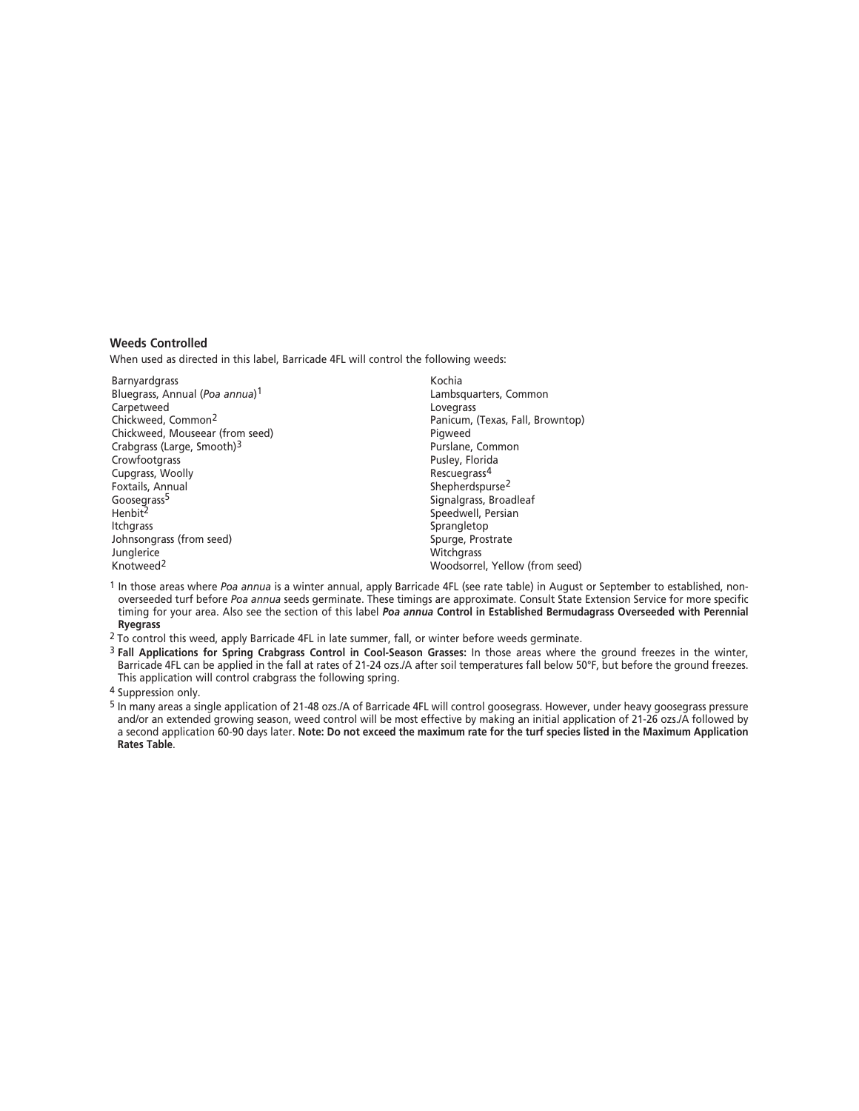## **Weeds Controlled**

When used as directed in this label, Barricade 4FL will control the following weeds:

| Barnyardgrass                              | Kochia                           |
|--------------------------------------------|----------------------------------|
| Bluegrass, Annual (Poa annua) <sup>1</sup> | Lambsquarters, Common            |
| Carpetweed                                 | Lovegrass                        |
| Chickweed, Common <sup>2</sup>             | Panicum, (Texas, Fall, Browntop) |
| Chickweed, Mouseear (from seed)            | Pigweed                          |
| Crabgrass (Large, Smooth) <sup>3</sup>     | Purslane, Common                 |
| Crowfootgrass                              | Pusley, Florida                  |
| Cupgrass, Woolly                           | Rescuegrass <sup>4</sup>         |
| Foxtails, Annual                           | Shepherdspurse <sup>2</sup>      |
| Goosegrass <sup>5</sup>                    | Signalgrass, Broadleaf           |
| Henbit <sup>2</sup>                        | Speedwell, Persian               |
| <b>Itchgrass</b>                           | Sprangletop                      |
| Johnsongrass (from seed)                   | Spurge, Prostrate                |
| Junglerice                                 | Witchgrass                       |
| Knotweed <sup>2</sup>                      | Woodsorrel, Yellow (from seed)   |

- 1 In those areas where *Poa annua* is a winter annual, apply Barricade 4FL (see rate table) in August or September to established, nonoverseeded turf before *Poa annua* seeds germinate. These timings are approximate. Consult State Extension Service for more specific timing for your area. Also see the section of this label *Poa annua* **Control in Established Bermudagrass Overseeded with Perennial Ryegrass**
- <sup>2</sup> To control this weed, apply Barricade 4FL in late summer, fall, or winter before weeds germinate.
- 3 **Fall Applications for Spring Crabgrass Control in Cool-Season Grasses:** In those areas where the ground freezes in the winter, Barricade 4FL can be applied in the fall at rates of 21-24 ozs./A after soil temperatures fall below 50°F, but before the ground freezes. This application will control crabgrass the following spring.

4 Suppression only.

5 In many areas a single application of 21-48 ozs./A of Barricade 4FL will control goosegrass. However, under heavy goosegrass pressure and/or an extended growing season, weed control will be most effective by making an initial application of 21-26 ozs./A followed by a second application 60-90 days later. **Note: Do not exceed the maximum rate for the turf species listed in the Maximum Application Rates Table**.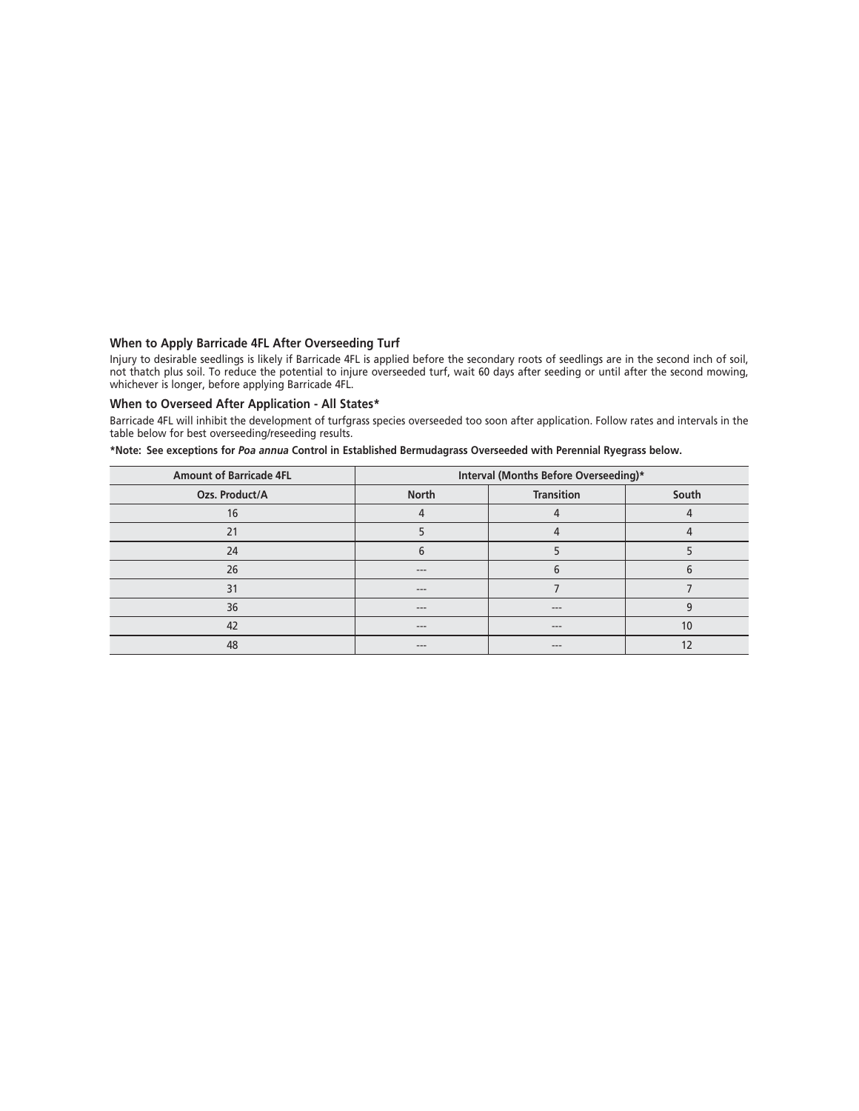## **When to Apply Barricade 4FL After Overseeding Turf**

Injury to desirable seedlings is likely if Barricade 4FL is applied before the secondary roots of seedlings are in the second inch of soil, not thatch plus soil. To reduce the potential to injure overseeded turf, wait 60 days after seeding or until after the second mowing, whichever is longer, before applying Barricade 4FL.

#### **When to Overseed After Application - All States\***

Barricade 4FL will inhibit the development of turfgrass species overseeded too soon after application. Follow rates and intervals in the table below for best overseeding/reseeding results.

**\*Note: See exceptions for** *Poa annua* **Control in Established Bermudagrass Overseeded with Perennial Ryegrass below.**

| <b>Amount of Barricade 4FL</b> | Interval (Months Before Overseeding)* |                   |       |
|--------------------------------|---------------------------------------|-------------------|-------|
| Ozs. Product/A                 | <b>North</b>                          | <b>Transition</b> | South |
| 16                             |                                       |                   |       |
| 21                             |                                       |                   |       |
| 24                             |                                       |                   |       |
| 26                             | $---$                                 |                   |       |
| 31                             | $---$                                 |                   |       |
| 36                             | $---$                                 | $---$             |       |
| 42                             | $---$                                 | $---$             | 10    |
| 48                             | ---                                   | $---$             |       |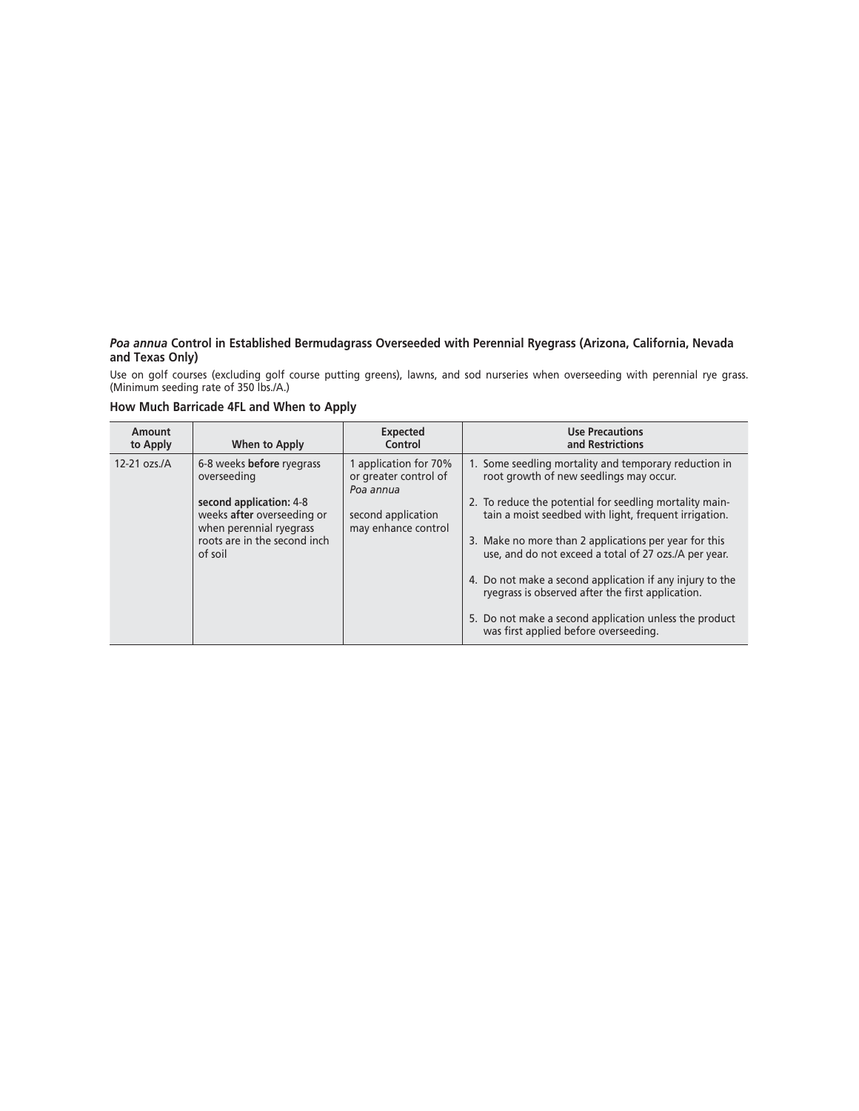## *Poa annua* **Control in Established Bermudagrass Overseeded with Perennial Ryegrass (Arizona, California, Nevada and Texas Only)**

Use on golf courses (excluding golf course putting greens), lawns, and sod nurseries when overseeding with perennial rye grass. (Minimum seeding rate of 350 lbs./A.)

|  |  | How Much Barricade 4FL and When to Apply |  |  |  |  |  |  |
|--|--|------------------------------------------|--|--|--|--|--|--|
|--|--|------------------------------------------|--|--|--|--|--|--|

| Amount<br>to Apply | When to Apply                                                                    | <b>Expected</b><br>Control                                | <b>Use Precautions</b><br>and Restrictions                                                                       |
|--------------------|----------------------------------------------------------------------------------|-----------------------------------------------------------|------------------------------------------------------------------------------------------------------------------|
| $12-21$ ozs./A     | 6-8 weeks before ryegrass<br>overseeding                                         | application for 70%<br>or greater control of<br>Poa annua | 1. Some seedling mortality and temporary reduction in<br>root growth of new seedlings may occur.                 |
|                    | second application: 4-8<br>weeks after overseeding or<br>when perennial ryegrass | second application<br>may enhance control                 | 2. To reduce the potential for seedling mortality main-<br>tain a moist seedbed with light, frequent irrigation. |
|                    | roots are in the second inch<br>of soil                                          |                                                           | 3. Make no more than 2 applications per year for this<br>use, and do not exceed a total of 27 ozs./A per year.   |
|                    |                                                                                  |                                                           | 4. Do not make a second application if any injury to the<br>ryegrass is observed after the first application.    |
|                    |                                                                                  |                                                           | 5. Do not make a second application unless the product<br>was first applied before overseeding.                  |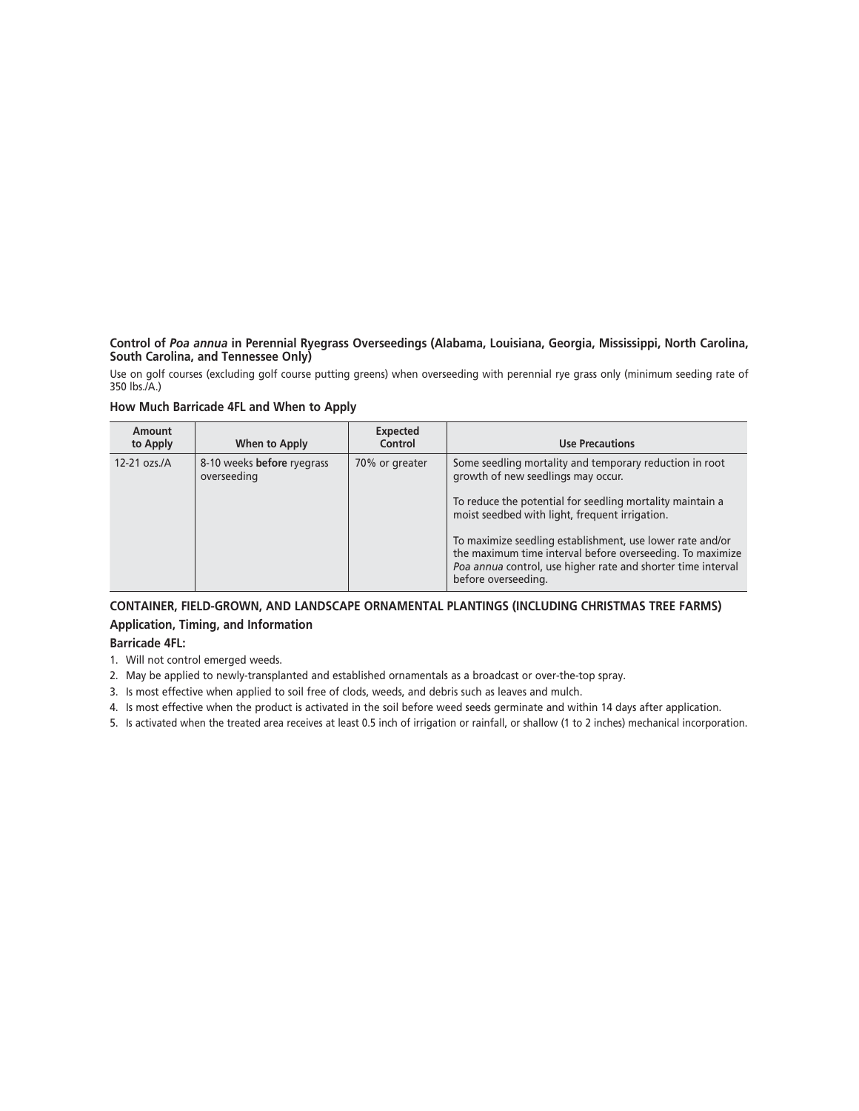## **Control of** *Poa annua* **in Perennial Ryegrass Overseedings (Alabama, Louisiana, Georgia, Mississippi, North Carolina, South Carolina, and Tennessee Only)**

Use on golf courses (excluding golf course putting greens) when overseeding with perennial rye grass only (minimum seeding rate of 350 lbs./A.)

**How Much Barricade 4FL and When to Apply**

| Amount<br>to Apply | When to Apply                             | Expected<br>Control | <b>Use Precautions</b>                                                                                                                                                                                                                                                                                                                                                                                                        |
|--------------------|-------------------------------------------|---------------------|-------------------------------------------------------------------------------------------------------------------------------------------------------------------------------------------------------------------------------------------------------------------------------------------------------------------------------------------------------------------------------------------------------------------------------|
| 12-21 ozs./A       | 8-10 weeks before ryegrass<br>overseeding | 70% or greater      | Some seedling mortality and temporary reduction in root<br>growth of new seedlings may occur.<br>To reduce the potential for seedling mortality maintain a<br>moist seedbed with light, frequent irrigation.<br>To maximize seedling establishment, use lower rate and/or<br>the maximum time interval before overseeding. To maximize<br>Poa annua control, use higher rate and shorter time interval<br>before overseeding. |

## **CONTAINER, FIELD-GROWN, AND LANDSCAPE ORNAMENTAL PLANTINGS (INCLUDING CHRISTMAS TREE FARMS) Application, Timing, and Information**

## **Barricade 4FL:**

- 1. Will not control emerged weeds.
- 2. May be applied to newly-transplanted and established ornamentals as a broadcast or over-the-top spray.
- 3. Is most effective when applied to soil free of clods, weeds, and debris such as leaves and mulch.
- 4. Is most effective when the product is activated in the soil before weed seeds germinate and within 14 days after application.
- 5. Is activated when the treated area receives at least 0.5 inch of irrigation or rainfall, or shallow (1 to 2 inches) mechanical incorporation.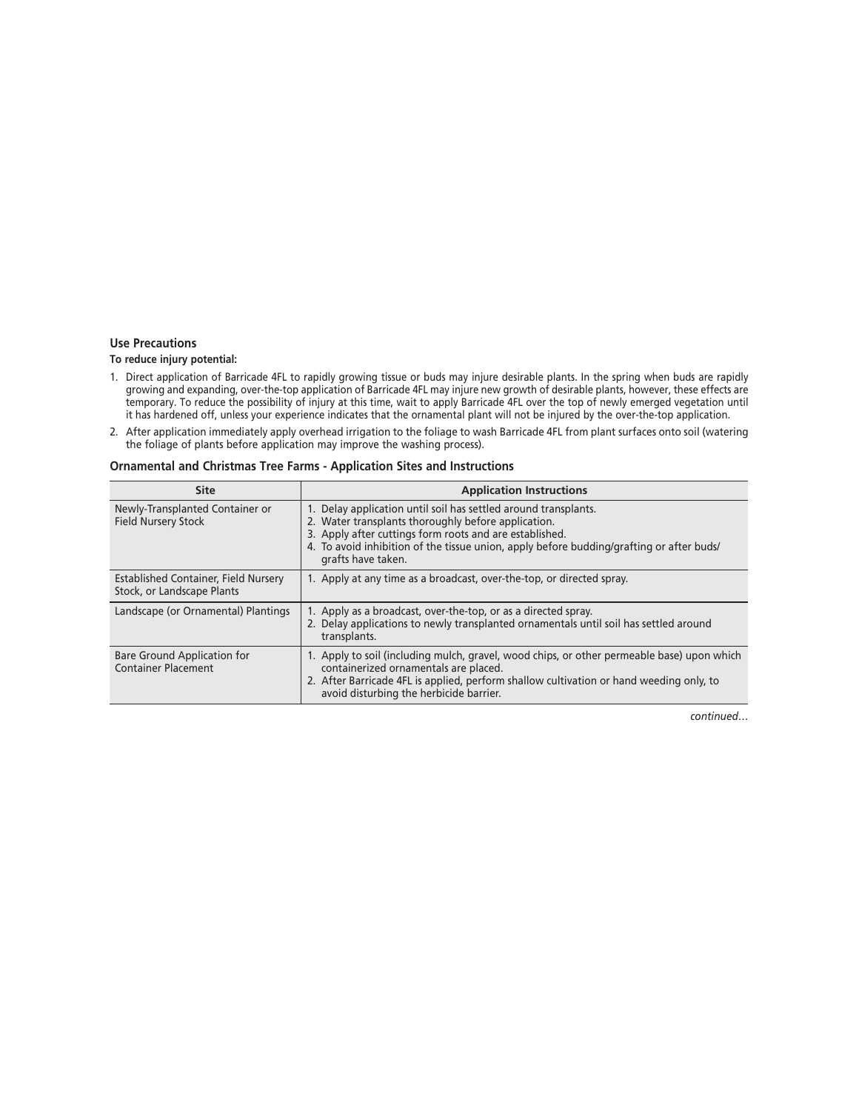## **Use Precautions**

#### **To reduce injury potential:**

Bare Ground Application for Container Placement

- 1. Direct application of Barricade 4FL to rapidly growing tissue or buds may injure desirable plants. In the spring when buds are rapidly growing and expanding, over-the-top application of Barricade 4FL may injure new growth of desirable plants, however, these effects are temporary. To reduce the possibility of injury at this time, wait to apply Barricade 4FL over the top of newly emerged vegetation until it has hardened off, unless your experience indicates that the ornamental plant will not be injured by the over-the-top application.
- 2. After application immediately apply overhead irrigation to the foliage to wash Barricade 4FL from plant surfaces onto soil (watering the foliage of plants before application may improve the washing process).

2. Delay applications to newly transplanted ornamentals until soil has settled around

2. After Barricade 4FL is applied, perform shallow cultivation or hand weeding only, to

1. Apply to soil (including mulch, gravel, wood chips, or other permeable base) upon which

| prhamental and Christmas Tree Farms - Application Sites and Instructions  |                                                                                                                                                                                                                                                                                         |  |  |  |
|---------------------------------------------------------------------------|-----------------------------------------------------------------------------------------------------------------------------------------------------------------------------------------------------------------------------------------------------------------------------------------|--|--|--|
| Site                                                                      | <b>Application Instructions</b>                                                                                                                                                                                                                                                         |  |  |  |
| Newly-Transplanted Container or<br><b>Field Nursery Stock</b>             | 1. Delay application until soil has settled around transplants.<br>2. Water transplants thoroughly before application.<br>3. Apply after cuttings form roots and are established.<br>4. To avoid inhibition of the tissue union, apply before budding/grafting of<br>grafts have taken. |  |  |  |
| <b>Established Container, Field Nursery</b><br>Stock, or Landscape Plants | 1. Apply at any time as a broadcast, over-the-top, or directed spray.                                                                                                                                                                                                                   |  |  |  |
| Landscape (or Ornamental) Plantings                                       | 1. Apply as a broadcast, over-the-top, or as a directed spray.                                                                                                                                                                                                                          |  |  |  |

containerized ornamentals are placed.

avoid disturbing the herbicide barrier.

transplants.

## **Ornamental and Christmas Tree Farms - Application Sites and Instructions**

*continued…*

after buds/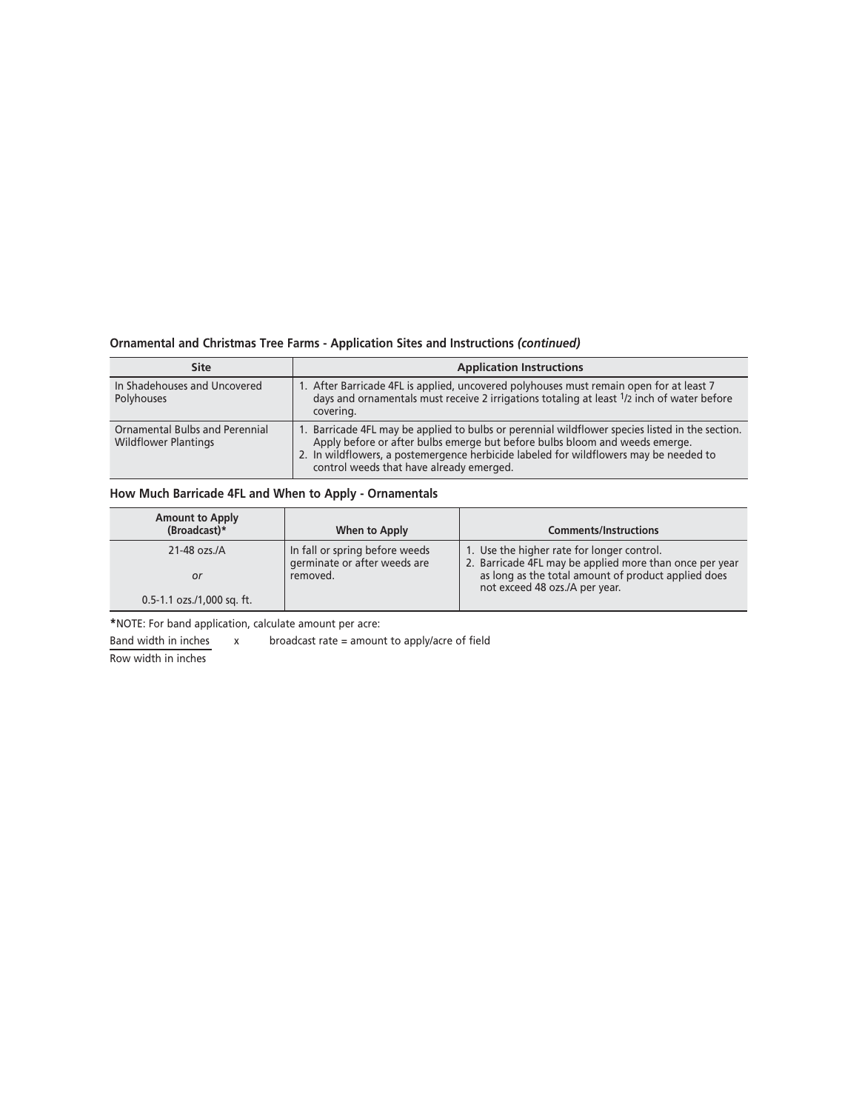## **Ornamental and Christmas Tree Farms - Application Sites and Instructions** *(continued)*

| <b>Site</b>                                                   | <b>Application Instructions</b>                                                                                                                                                                                                                                                                                     |
|---------------------------------------------------------------|---------------------------------------------------------------------------------------------------------------------------------------------------------------------------------------------------------------------------------------------------------------------------------------------------------------------|
| In Shadehouses and Uncovered<br>Polyhouses                    | 1. After Barricade 4FL is applied, uncovered polyhouses must remain open for at least 7<br>days and ornamentals must receive 2 irrigations totaling at least 1/2 inch of water before<br>covering.                                                                                                                  |
| Ornamental Bulbs and Perennial<br><b>Wildflower Plantings</b> | 1. Barricade 4FL may be applied to bulbs or perennial wildflower species listed in the section.<br>Apply before or after bulbs emerge but before bulbs bloom and weeds emerge.<br>2. In wildflowers, a postemergence herbicide labeled for wildflowers may be needed to<br>control weeds that have already emerged. |

## **How Much Barricade 4FL and When to Apply - Ornamentals**

| <b>Amount to Apply</b><br>(Broadcast)* | When to Apply                                                  | <b>Comments/Instructions</b>                                                                          |
|----------------------------------------|----------------------------------------------------------------|-------------------------------------------------------------------------------------------------------|
| 21-48 ozs./A                           | In fall or spring before weeds<br>germinate or after weeds are | 1. Use the higher rate for longer control.<br>2. Barricade 4FL may be applied more than once per year |
| or                                     | removed.                                                       | as long as the total amount of product applied does<br>not exceed 48 ozs./A per year.                 |
| $0.5 - 1.1$ ozs./1,000 sq. ft.         |                                                                |                                                                                                       |

**\***NOTE: For band application, calculate amount per acre:

Band width in inches  $x$  broadcast rate = amount to apply/acre of field

Row width in inches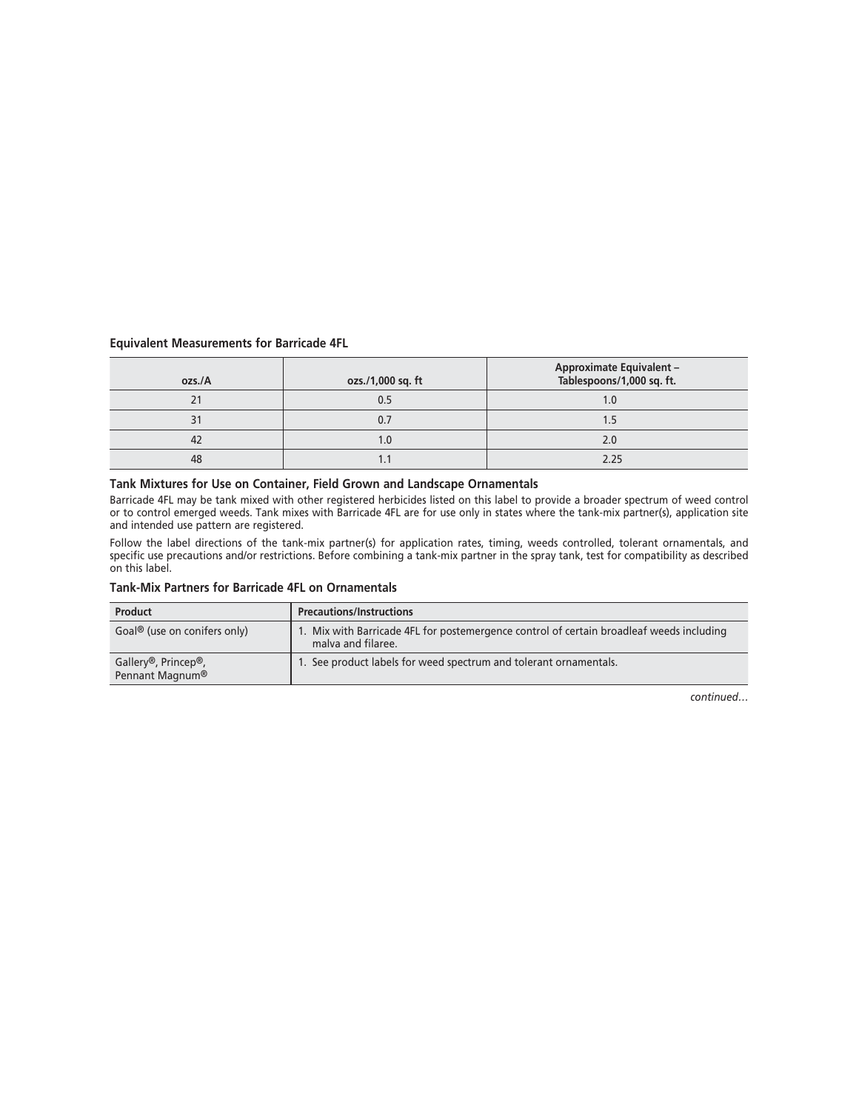## **Equivalent Measurements for Barricade 4FL**

| ozs./A | ozs./1,000 sq. ft | <b>Approximate Equivalent -</b><br>Tablespoons/1,000 sq. ft. |
|--------|-------------------|--------------------------------------------------------------|
|        | 0.5               | 1.0                                                          |
|        | 0.7               |                                                              |
| 42     | 1.0               | 2.0                                                          |
| 48     | ٠.۱               | 2.25                                                         |

## **Tank Mixtures for Use on Container, Field Grown and Landscape Ornamentals**

Barricade 4FL may be tank mixed with other registered herbicides listed on this label to provide a broader spectrum of weed control or to control emerged weeds. Tank mixes with Barricade 4FL are for use only in states where the tank-mix partner(s), application site and intended use pattern are registered.

Follow the label directions of the tank-mix partner(s) for application rates, timing, weeds controlled, tolerant ornamentals, and specific use precautions and/or restrictions. Before combining a tank-mix partner in the spray tank, test for compatibility as described on this label.

## **Tank-Mix Partners for Barricade 4FL on Ornamentals**

| Product                                                          | <b>Precautions/Instructions</b>                                                                                |
|------------------------------------------------------------------|----------------------------------------------------------------------------------------------------------------|
| Goal <sup>®</sup> (use on conifers only)                         | 1. Mix with Barricade 4FL for postemergence control of certain broadleaf weeds including<br>malva and filaree. |
| Gallery <sup>®</sup> , Princep <sup>®</sup> ,<br>Pennant Magnum® | 1. See product labels for weed spectrum and tolerant ornamentals.                                              |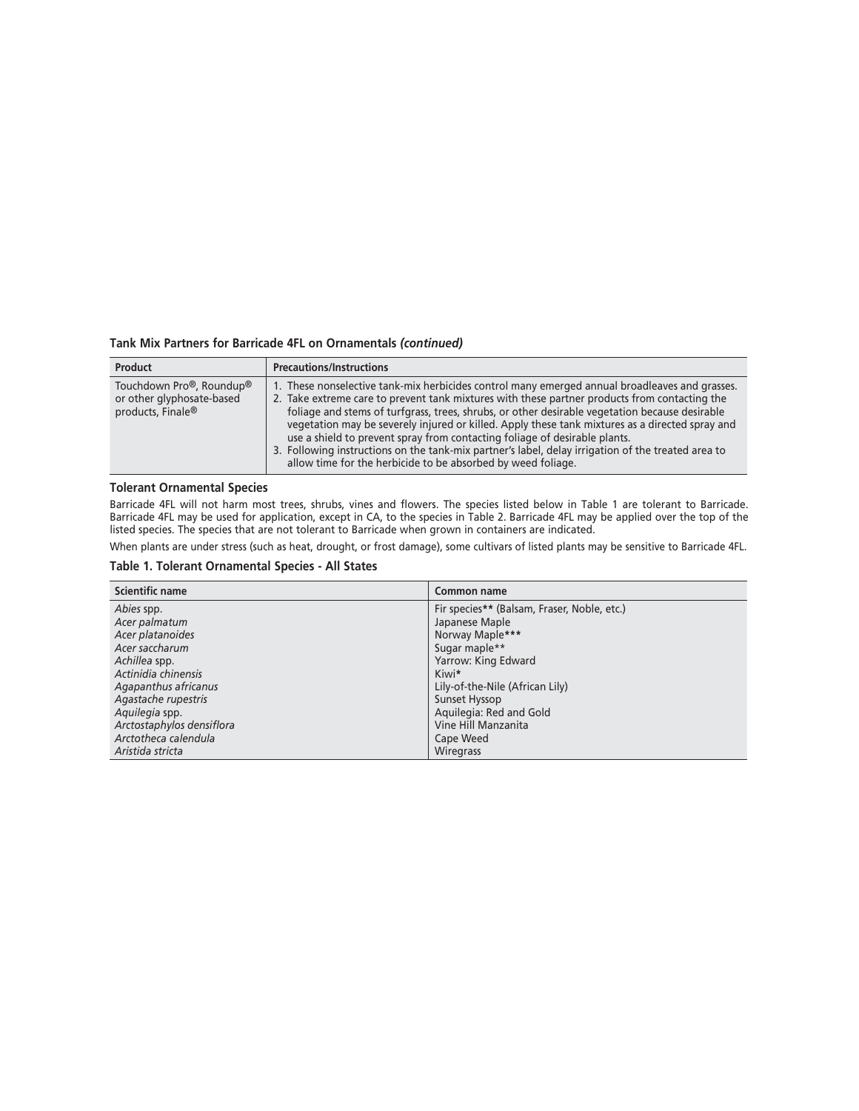## **Tank Mix Partners for Barricade 4FL on Ornamentals** *(continued)*

| Product                                                                                | <b>Precautions/Instructions</b>                                                                                                                                                                                                                                                                                                                                                                                                                                                                                                                                                                                                                          |
|----------------------------------------------------------------------------------------|----------------------------------------------------------------------------------------------------------------------------------------------------------------------------------------------------------------------------------------------------------------------------------------------------------------------------------------------------------------------------------------------------------------------------------------------------------------------------------------------------------------------------------------------------------------------------------------------------------------------------------------------------------|
| Touchdown Pro®, Roundup®<br>or other glyphosate-based<br>products, Finale <sup>®</sup> | 1. These nonselective tank-mix herbicides control many emerged annual broadleaves and grasses.<br>2. Take extreme care to prevent tank mixtures with these partner products from contacting the<br>foliage and stems of turfgrass, trees, shrubs, or other desirable vegetation because desirable<br>vegetation may be severely injured or killed. Apply these tank mixtures as a directed spray and<br>use a shield to prevent spray from contacting foliage of desirable plants.<br>3. Following instructions on the tank-mix partner's label, delay irrigation of the treated area to<br>allow time for the herbicide to be absorbed by weed foliage. |

## **Tolerant Ornamental Species**

Barricade 4FL will not harm most trees, shrubs, vines and flowers. The species listed below in Table 1 are tolerant to Barricade. Barricade 4FL may be used for application, except in CA, to the species in Table 2. Barricade 4FL may be applied over the top of the listed species. The species that are not tolerant to Barricade when grown in containers are indicated.

When plants are under stress (such as heat, drought, or frost damage), some cultivars of listed plants may be sensitive to Barricade 4FL.

## **Table 1. Tolerant Ornamental Species - All States**

| <b>Scientific name</b>    | Common name                                 |
|---------------------------|---------------------------------------------|
| Abies spp.                | Fir species** (Balsam, Fraser, Noble, etc.) |
| Acer palmatum             | Japanese Maple                              |
| Acer platanoides          | Norway Maple***                             |
| Acer saccharum            | Sugar maple**                               |
| Achillea spp.             | Yarrow: King Edward                         |
| Actinidia chinensis       | Kiwi*                                       |
| Agapanthus africanus      | Lily-of-the-Nile (African Lily)             |
| Agastache rupestris       | Sunset Hyssop                               |
| Aquilegia spp.            | Aquilegia: Red and Gold                     |
| Arctostaphylos densiflora | Vine Hill Manzanita                         |
| Arctotheca calendula      | Cape Weed                                   |
| Aristida stricta          | Wiregrass                                   |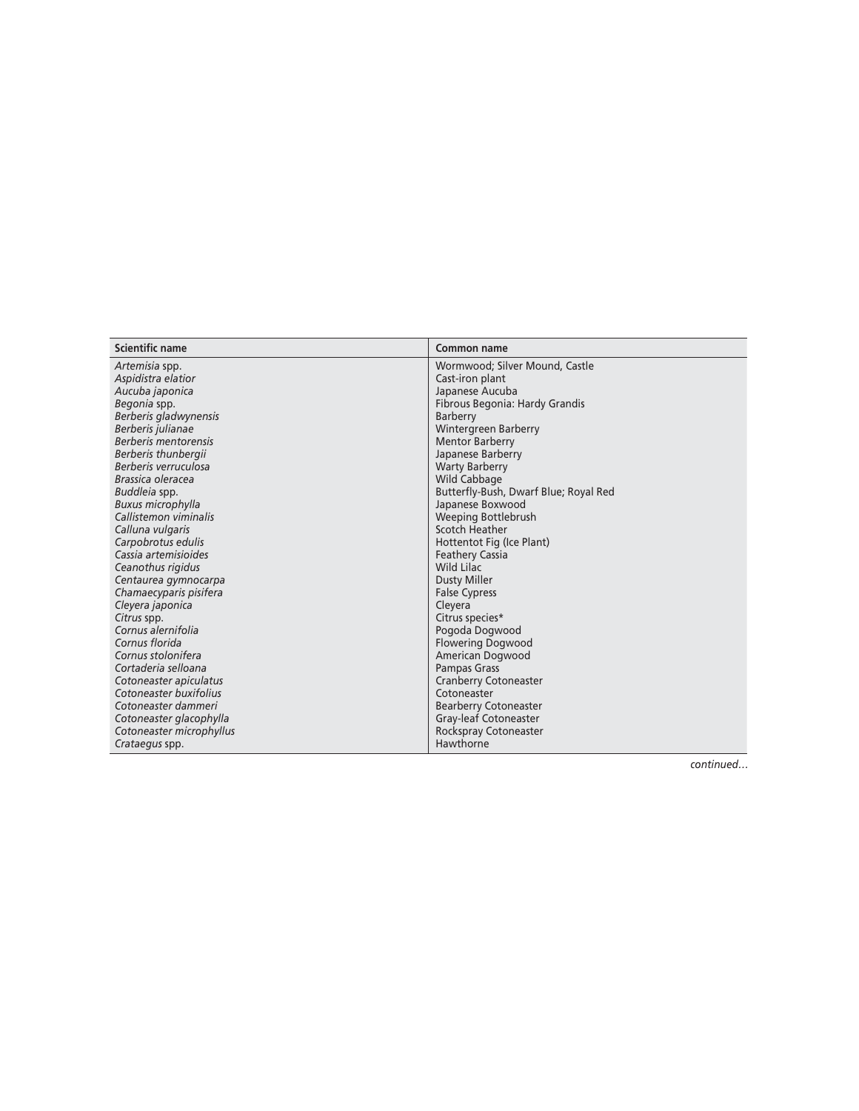| <b>Scientific name</b>      | Common name                           |
|-----------------------------|---------------------------------------|
| Artemisia spp.              | Wormwood; Silver Mound, Castle        |
| Aspidistra elatior          | Cast-iron plant                       |
| Aucuba japonica             | Japanese Aucuba                       |
| Begonia spp.                | Fibrous Begonia: Hardy Grandis        |
| Berberis gladwynensis       | Barberry                              |
| Berberis julianae           | Wintergreen Barberry                  |
| <b>Berberis mentorensis</b> | <b>Mentor Barberry</b>                |
| Berberis thunbergii         | Japanese Barberry                     |
| Berberis verruculosa        | <b>Warty Barberry</b>                 |
| Brassica oleracea           | Wild Cabbage                          |
| Buddleia spp.               | Butterfly-Bush, Dwarf Blue; Royal Red |
| <b>Buxus microphylla</b>    | Japanese Boxwood                      |
| Callistemon viminalis       | Weeping Bottlebrush                   |
| Calluna vulgaris            | Scotch Heather                        |
| Carpobrotus edulis          | Hottentot Fig (Ice Plant)             |
| Cassia artemisioides        | <b>Feathery Cassia</b>                |
| Ceanothus rigidus           | Wild Lilac                            |
| Centaurea gymnocarpa        | <b>Dusty Miller</b>                   |
| Chamaecyparis pisifera      | <b>False Cypress</b>                  |
| Cleyera japonica            | Clevera                               |
| Citrus spp.                 | Citrus species*                       |
| Cornus alernifolia          | Pogoda Dogwood                        |
| Cornus florida              | <b>Flowering Dogwood</b>              |
| Cornus stolonifera          | American Dogwood                      |
| Cortaderia selloana         | Pampas Grass                          |
| Cotoneaster apiculatus      | Cranberry Cotoneaster                 |
| Cotoneaster buxifolius      | Cotoneaster                           |
| Cotoneaster dammeri         | <b>Bearberry Cotoneaster</b>          |
| Cotoneaster glacophylla     | Gray-leaf Cotoneaster                 |
| Cotoneaster microphyllus    | Rockspray Cotoneaster                 |
| Crataegus spp.              | Hawthorne                             |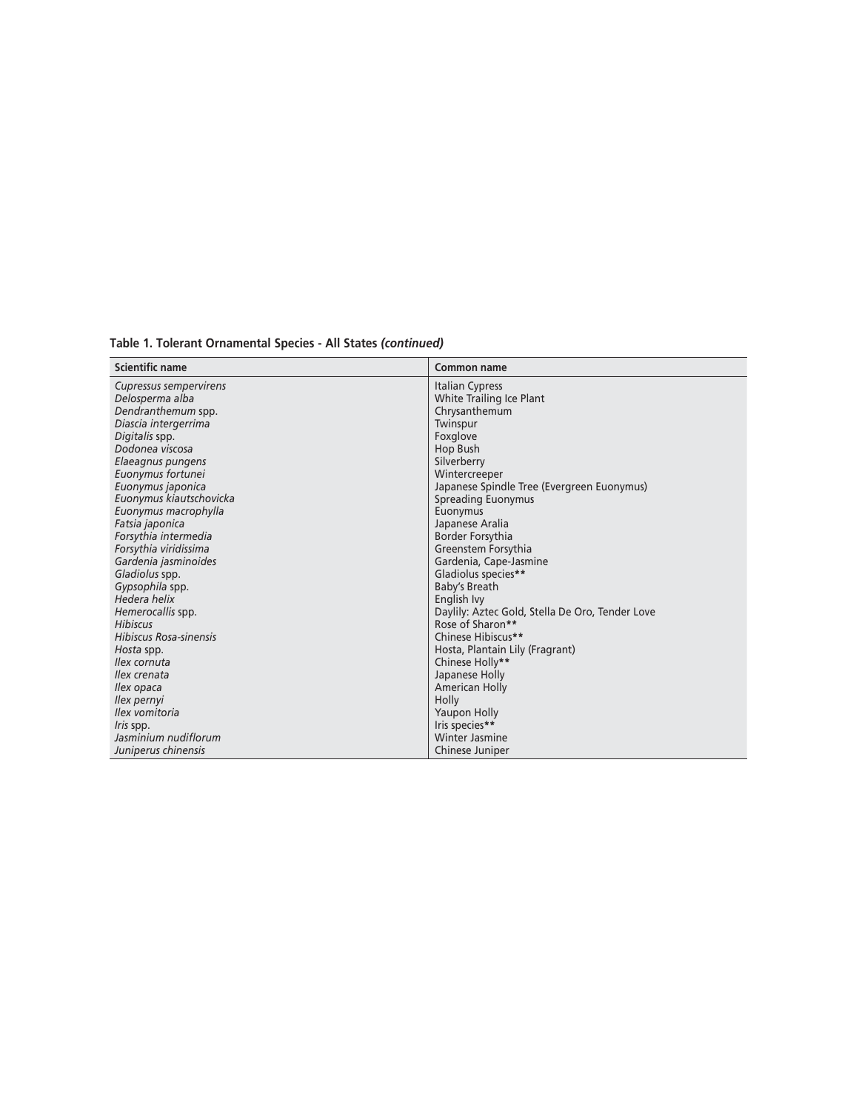|  |  |  | Table 1. Tolerant Ornamental Species - All States <i>(continued)</i> |  |  |  |
|--|--|--|----------------------------------------------------------------------|--|--|--|
|--|--|--|----------------------------------------------------------------------|--|--|--|

| <b>Scientific name</b>                   | Common name                                     |
|------------------------------------------|-------------------------------------------------|
| Cupressus sempervirens                   | <b>Italian Cypress</b>                          |
| Delosperma alba                          | White Trailing Ice Plant                        |
| Dendranthemum spp.                       | Chrysanthemum                                   |
| Diascia intergerrima                     | Twinspur                                        |
| Digitalis spp.                           | Foxglove                                        |
| Dodonea viscosa                          | Hop Bush                                        |
| Elaeagnus pungens                        | Silverberry                                     |
| Euonymus fortunei                        | Wintercreeper                                   |
| Euonymus japonica                        | Japanese Spindle Tree (Evergreen Euonymus)      |
| Euonymus kiautschovicka                  | Spreading Euonymus                              |
| Euonymus macrophylla                     | Euonymus                                        |
| Fatsia japonica                          | Japanese Aralia                                 |
| Forsythia intermedia                     | Border Forsythia                                |
| Forsythia viridissima                    | Greenstem Forsythia                             |
| Gardenia jasminoides                     | Gardenia, Cape-Jasmine                          |
| Gladiolus spp.                           | Gladiolus species**                             |
| Gypsophila spp.                          | Baby's Breath                                   |
| Hedera helix                             | English Ivy                                     |
| Hemerocallis spp.                        | Daylily: Aztec Gold, Stella De Oro, Tender Love |
| <b>Hibiscus</b>                          | Rose of Sharon**                                |
| <b>Hibiscus Rosa-sinensis</b>            | Chinese Hibiscus**                              |
| Hosta spp.                               | Hosta, Plantain Lily (Fragrant)                 |
| Ilex cornuta                             | Chinese Holly**                                 |
| Ilex crenata                             | Japanese Holly                                  |
| llex opaca                               | American Holly                                  |
| Ilex pernyi<br>Ilex vomitoria            | Holly                                           |
|                                          | <b>Yaupon Holly</b>                             |
| <i>Iris</i> spp.<br>Jasminium nudiflorum | Iris species**<br><b>Winter Jasmine</b>         |
| Juniperus chinensis                      | Chinese Juniper                                 |
|                                          |                                                 |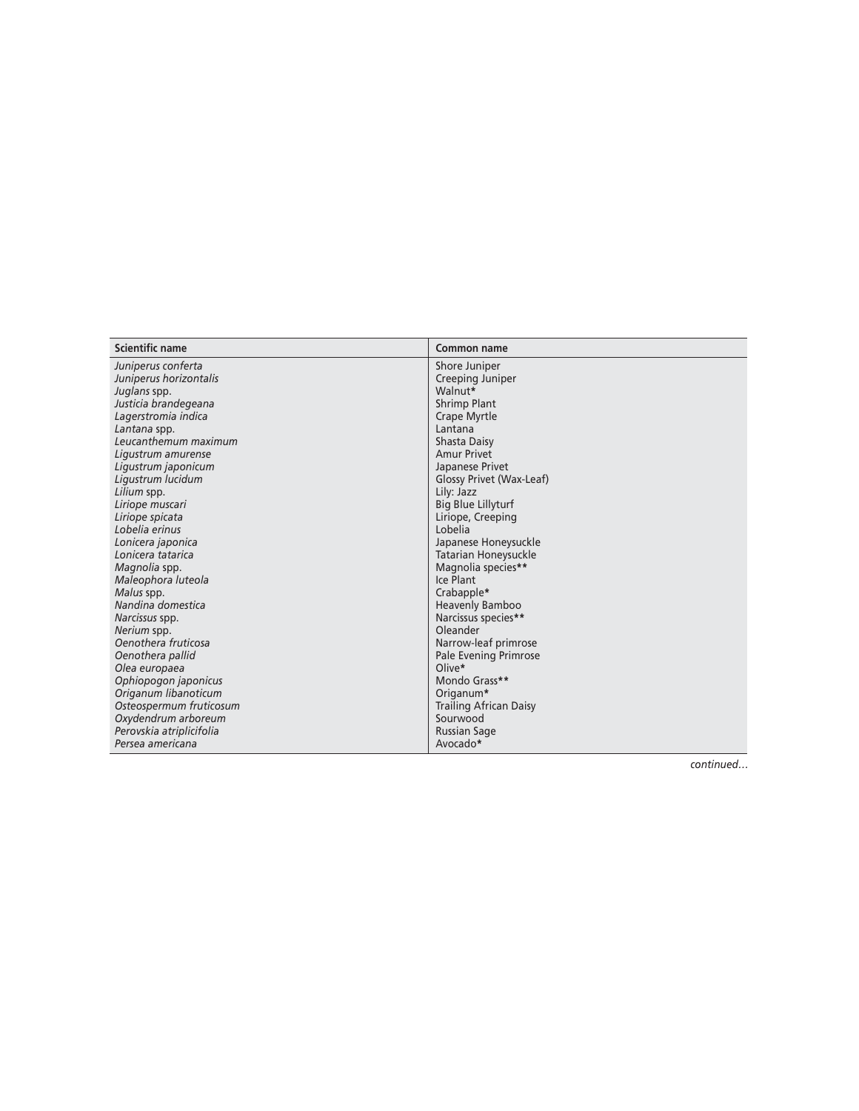| <b>Scientific name</b>   | Common name                   |
|--------------------------|-------------------------------|
| Juniperus conferta       | Shore Juniper                 |
| Juniperus horizontalis   | Creeping Juniper              |
| Juglans spp.             | Walnut*                       |
| Justicia brandegeana     | Shrimp Plant                  |
| Lagerstromia indica      | Crape Myrtle                  |
| Lantana spp.             | Lantana                       |
| Leucanthemum maximum     | Shasta Daisy                  |
| Ligustrum amurense       | <b>Amur Privet</b>            |
| Ligustrum japonicum      | Japanese Privet               |
| Ligustrum lucidum        | Glossy Privet (Wax-Leaf)      |
| Lilium spp.              | Lily: Jazz                    |
| Liriope muscari          | <b>Big Blue Lillyturf</b>     |
| Liriope spicata          | Liriope, Creeping             |
| Lobelia erinus           | Lobelia                       |
| Lonicera japonica        | Japanese Honeysuckle          |
| Lonicera tatarica        | <b>Tatarian Honeysuckle</b>   |
| Magnolia spp.            | Magnolia species**            |
| Maleophora luteola       | Ice Plant                     |
| Malus spp.               | Crabapple*                    |
| Nandina domestica        | <b>Heavenly Bamboo</b>        |
| Narcissus spp.           | Narcissus species**           |
| Nerium spp.              | Oleander                      |
| Oenothera fruticosa      | Narrow-leaf primrose          |
| Oenothera pallid         | Pale Evening Primrose         |
| Olea europaea            | Olive*                        |
| Ophiopogon japonicus     | Mondo Grass**                 |
| Origanum libanoticum     | Origanum*                     |
| Osteospermum fruticosum  | <b>Trailing African Daisy</b> |
| Oxydendrum arboreum      | Sourwood                      |
| Perovskia atriplicifolia | <b>Russian Sage</b>           |
| Persea americana         | Avocado*                      |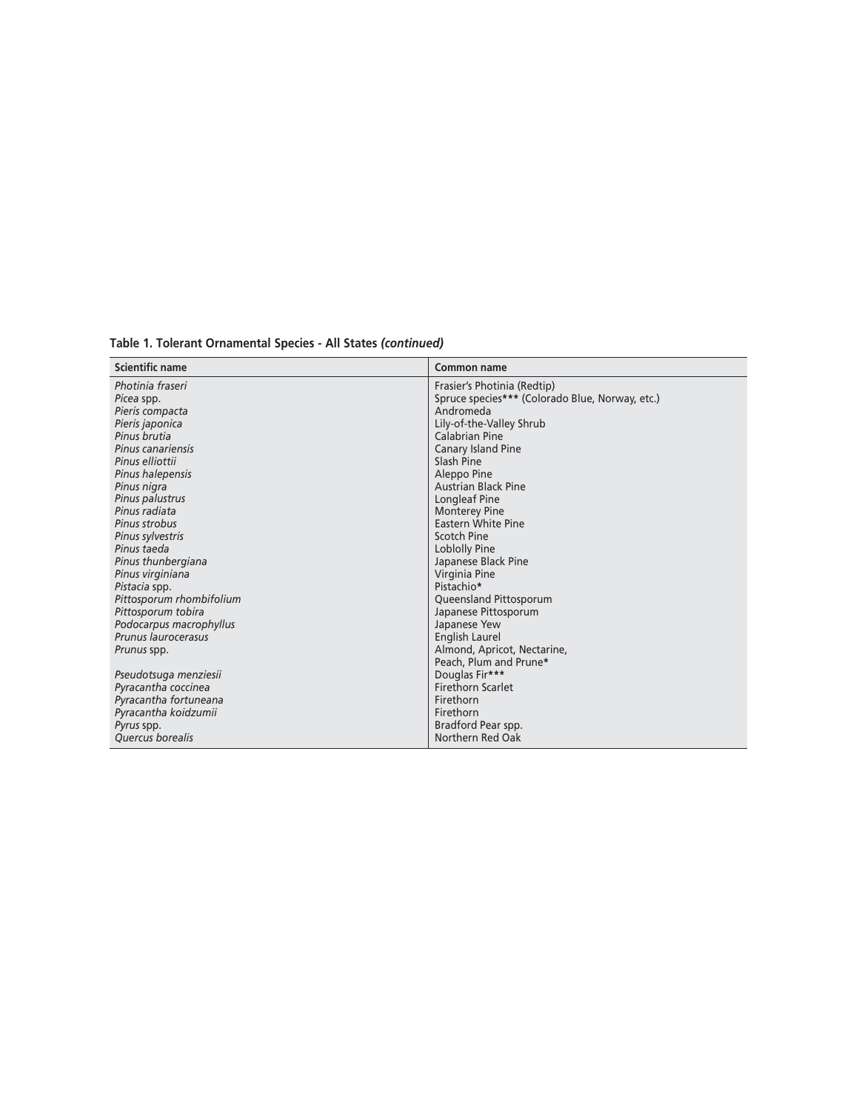**Table 1. Tolerant Ornamental Species - All States** *(continued)*

| <b>Scientific name</b>   | <b>Common name</b>                              |
|--------------------------|-------------------------------------------------|
| Photinia fraseri         | Frasier's Photinia (Redtip)                     |
| Picea spp.               | Spruce species*** (Colorado Blue, Norway, etc.) |
| Pieris compacta          | Andromeda                                       |
| Pieris japonica          | Lily-of-the-Valley Shrub                        |
| Pinus brutia             | Calabrian Pine                                  |
| Pinus canariensis        | Canary Island Pine                              |
| Pinus elliottii          | Slash Pine                                      |
| Pinus halepensis         | Aleppo Pine                                     |
| Pinus nigra              | <b>Austrian Black Pine</b>                      |
| Pinus palustrus          | Longleaf Pine                                   |
| Pinus radiata            | <b>Monterey Pine</b>                            |
| Pinus strobus            | <b>Eastern White Pine</b>                       |
| Pinus sylvestris         | Scotch Pine                                     |
| Pinus taeda              | <b>Loblolly Pine</b>                            |
| Pinus thunbergiana       | Japanese Black Pine                             |
| Pinus virginiana         | Virginia Pine                                   |
| Pistacia spp.            | Pistachio*                                      |
| Pittosporum rhombifolium | Queensland Pittosporum                          |
| Pittosporum tobira       | Japanese Pittosporum                            |
| Podocarpus macrophyllus  | Japanese Yew                                    |
| Prunus laurocerasus      | English Laurel                                  |
| Prunus spp.              | Almond, Apricot, Nectarine,                     |
|                          | Peach, Plum and Prune*                          |
| Pseudotsuga menziesii    | Douglas Fir***                                  |
| Pyracantha coccinea      | <b>Firethorn Scarlet</b>                        |
| Pyracantha fortuneana    | Firethorn                                       |
| Pyracantha koidzumii     | Firethorn                                       |
| Pyrus spp.               | Bradford Pear spp.                              |
| Quercus borealis         | Northern Red Oak                                |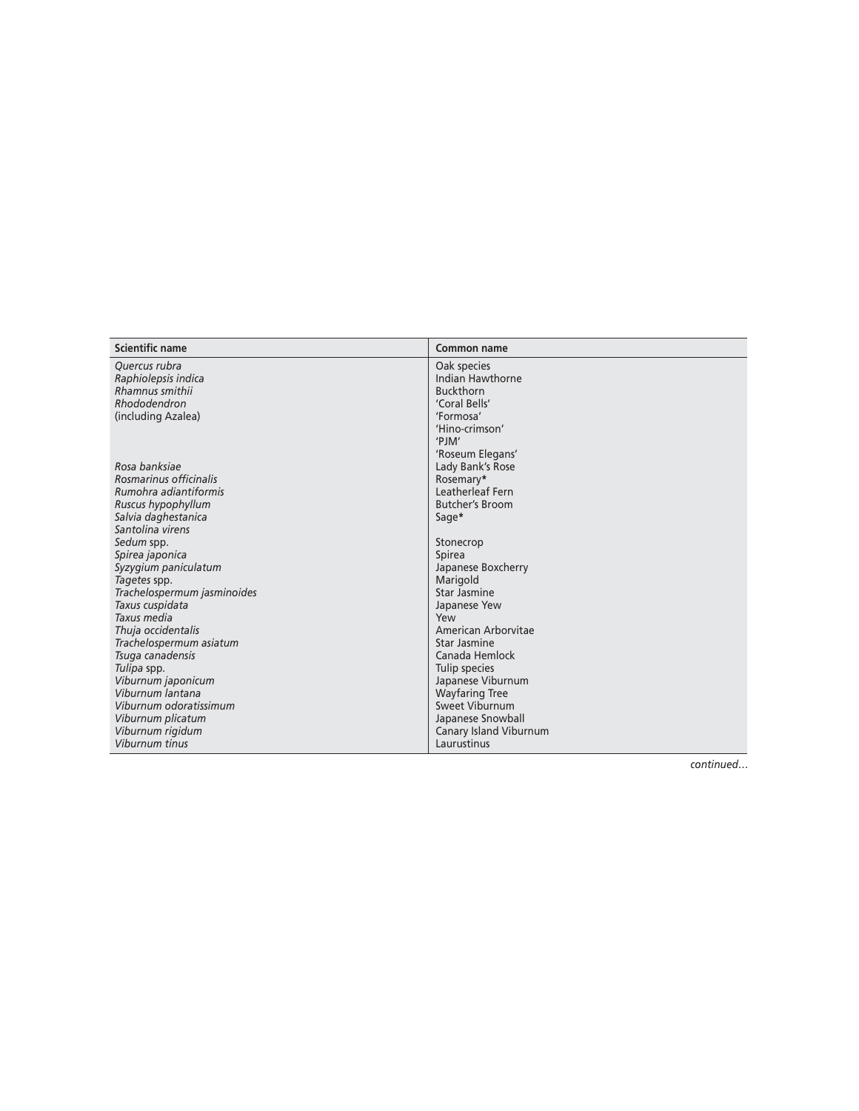| <b>Scientific name</b>                      | Common name                            |
|---------------------------------------------|----------------------------------------|
| Ouercus rubra<br>Raphiolepsis indica        | Oak species<br><b>Indian Hawthorne</b> |
| Rhamnus smithii                             | <b>Buckthorn</b>                       |
| Rhododendron                                | 'Coral Bells'                          |
| (including Azalea)                          | 'Formosa'                              |
|                                             | 'Hino-crimson'                         |
|                                             | 'PJM'                                  |
|                                             | 'Roseum Elegans'                       |
| Rosa banksiae                               | Lady Bank's Rose                       |
| Rosmarinus officinalis                      | Rosemary*                              |
| Rumohra adiantiformis                       | Leatherleaf Fern                       |
| Ruscus hypophyllum                          | <b>Butcher's Broom</b>                 |
| Salvia daghestanica                         | Sage*                                  |
| Santolina virens                            |                                        |
| Sedum spp.                                  | Stonecrop                              |
| Spirea japonica                             | Spirea                                 |
| Syzygium paniculatum                        | Japanese Boxcherry                     |
| Tagetes spp.                                | Marigold                               |
| Trachelospermum jasminoides                 | Star Jasmine                           |
| Taxus cuspidata                             | Japanese Yew                           |
| Taxus media                                 | Yew                                    |
| Thuja occidentalis                          | American Arborvitae<br>Star Jasmine    |
| Trachelospermum asiatum<br>Tsuga canadensis | Canada Hemlock                         |
| Tulipa spp.                                 | Tulip species                          |
| Viburnum japonicum                          | Japanese Viburnum                      |
| Viburnum lantana                            | <b>Wayfaring Tree</b>                  |
| Viburnum odoratissimum                      | Sweet Viburnum                         |
| Viburnum plicatum                           | Japanese Snowball                      |
| Viburnum rigidum                            | <b>Canary Island Viburnum</b>          |
| <b>Viburnum tinus</b>                       | Laurustinus                            |
|                                             |                                        |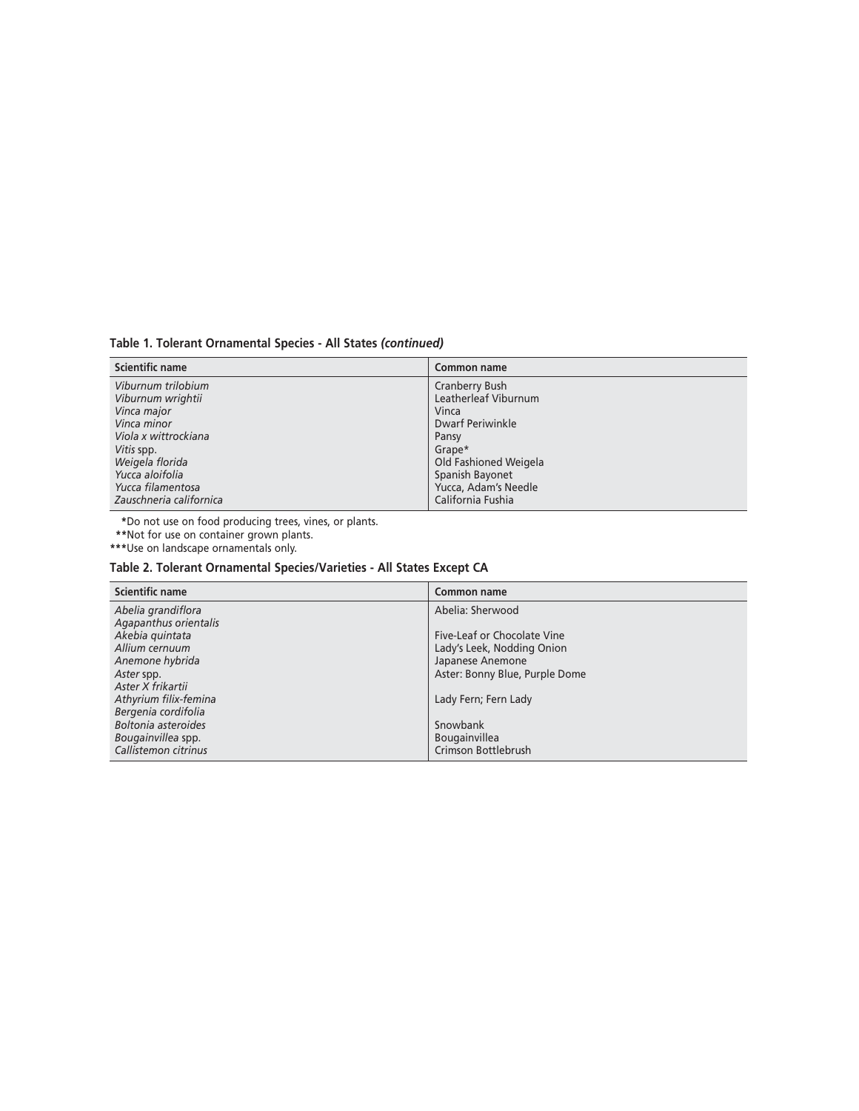## **Table 1. Tolerant Ornamental Species - All States** *(continued)*

| <b>Scientific name</b>  | Common name             |
|-------------------------|-------------------------|
| Viburnum trilobium      | <b>Cranberry Bush</b>   |
| Viburnum wrightii       | Leatherleaf Viburnum    |
| Vinca major             | Vinca                   |
| Vinca minor             | <b>Dwarf Periwinkle</b> |
| Viola x wittrockiana    | Pansy                   |
| Vitis spp.              | Grape*                  |
| Weigela florida         | Old Fashioned Weigela   |
| Yucca aloifolia         | Spanish Bayonet         |
| Yucca filamentosa       | Yucca, Adam's Needle    |
| Zauschneria californica | California Fushia       |

 **\***Do not use on food producing trees, vines, or plants.

 **\*\***Not for use on container grown plants.

**\*\*\***Use on landscape ornamentals only.

## **Table 2. Tolerant Ornamental Species/Varieties - All States Except CA**

| Scientific name       | Common name                    |
|-----------------------|--------------------------------|
| Abelia grandiflora    | Abelia: Sherwood               |
| Agapanthus orientalis |                                |
| Akebia quintata       | Five-Leaf or Chocolate Vine    |
| Allium cernuum        | Lady's Leek, Nodding Onion     |
| Anemone hybrida       | Japanese Anemone               |
| Aster spp.            | Aster: Bonny Blue, Purple Dome |
| Aster X frikartii     |                                |
| Athyrium filix-femina | Lady Fern; Fern Lady           |
| Bergenia cordifolia   |                                |
| Boltonia asteroides   | Snowbank                       |
| Bougainvillea spp.    | Bougainvillea                  |
| Callistemon citrinus  | Crimson Bottlebrush            |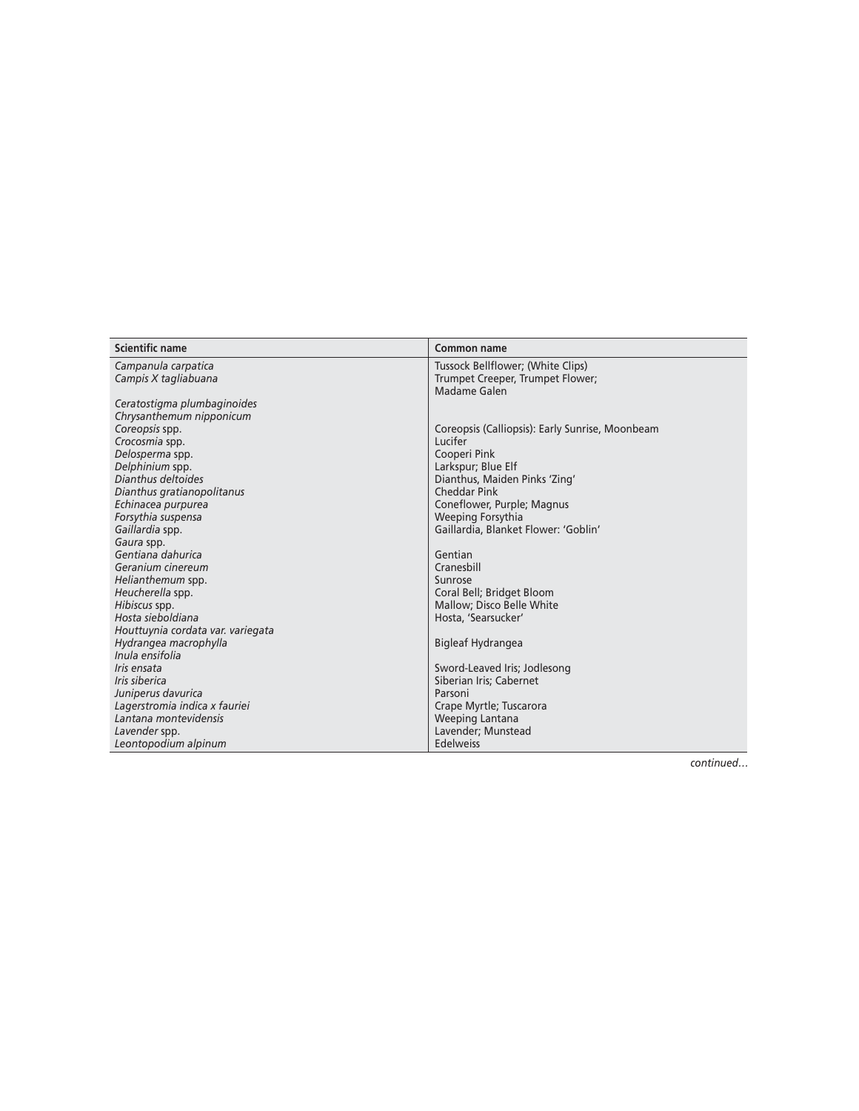| <b>Scientific name</b>            | <b>Common name</b>                              |  |  |
|-----------------------------------|-------------------------------------------------|--|--|
| Campanula carpatica               | Tussock Bellflower; (White Clips)               |  |  |
| Campis X tagliabuana              | Trumpet Creeper, Trumpet Flower;                |  |  |
|                                   | Madame Galen                                    |  |  |
| Ceratostigma plumbaginoides       |                                                 |  |  |
| Chrysanthemum nipponicum          |                                                 |  |  |
| Coreopsis spp.                    | Coreopsis (Calliopsis): Early Sunrise, Moonbeam |  |  |
| Crocosmia spp.                    | Lucifer                                         |  |  |
| Delosperma spp.                   | Cooperi Pink                                    |  |  |
| Delphinium spp.                   | Larkspur; Blue Elf                              |  |  |
| Dianthus deltoides                | Dianthus, Maiden Pinks 'Zing'                   |  |  |
| Dianthus gratianopolitanus        | <b>Cheddar Pink</b>                             |  |  |
| Echinacea purpurea                | Coneflower, Purple; Magnus                      |  |  |
| Forsythia suspensa                | Weeping Forsythia                               |  |  |
| Gaillardia spp.                   | Gaillardia, Blanket Flower: 'Goblin'            |  |  |
| Gaura spp.                        |                                                 |  |  |
| Gentiana dahurica                 | Gentian                                         |  |  |
| Geranium cinereum                 | Cranesbill                                      |  |  |
| Helianthemum spp.                 | Sunrose                                         |  |  |
| Heucherella spp.                  | Coral Bell; Bridget Bloom                       |  |  |
| Hibiscus spp.                     | Mallow; Disco Belle White                       |  |  |
| Hosta sieboldiana                 | Hosta, 'Searsucker'                             |  |  |
| Houttuynia cordata var. variegata |                                                 |  |  |
| Hydrangea macrophylla             | <b>Bigleaf Hydrangea</b>                        |  |  |
| Inula ensifolia                   |                                                 |  |  |
| Iris ensata                       | Sword-Leaved Iris; Jodlesong                    |  |  |
| Iris siberica                     | Siberian Iris; Cabernet                         |  |  |
| Juniperus davurica                | Parsoni                                         |  |  |
| Lagerstromia indica x fauriei     | Crape Myrtle; Tuscarora                         |  |  |
| Lantana montevidensis             | Weeping Lantana                                 |  |  |
| Lavender spp.                     | Lavender; Munstead                              |  |  |
| Leontopodium alpinum              | <b>Edelweiss</b>                                |  |  |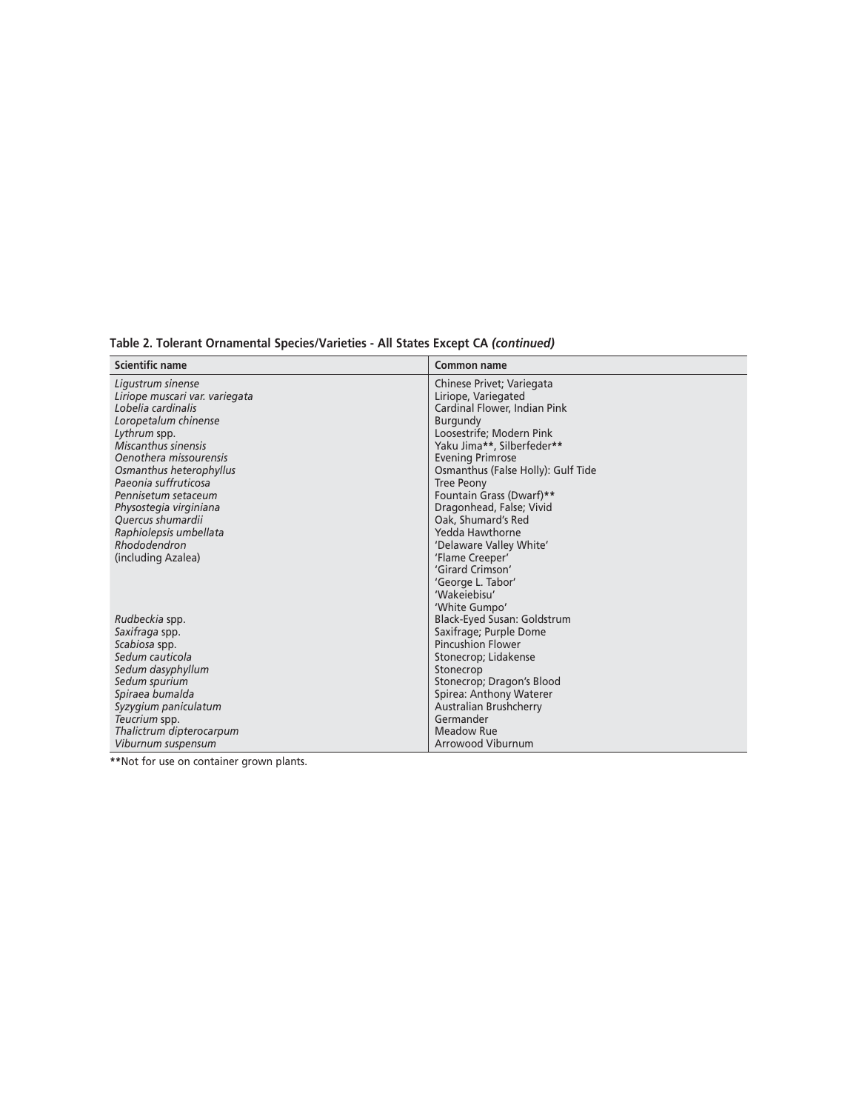| Table 2. Tolerant Ornamental Species/Varieties - All States Except CA (continued) |  |
|-----------------------------------------------------------------------------------|--|
|                                                                                   |  |

| <b>Scientific name</b>         | Common name                        |  |  |
|--------------------------------|------------------------------------|--|--|
| Ligustrum sinense              | Chinese Privet; Variegata          |  |  |
| Liriope muscari var. variegata | Liriope, Variegated                |  |  |
| Lobelia cardinalis             | Cardinal Flower, Indian Pink       |  |  |
| Loropetalum chinense           | Burgundy                           |  |  |
| Lythrum spp.                   | Loosestrife; Modern Pink           |  |  |
| Miscanthus sinensis            | Yaku Jima**, Silberfeder**         |  |  |
| Oenothera missourensis         | <b>Evening Primrose</b>            |  |  |
| Osmanthus heterophyllus        | Osmanthus (False Holly): Gulf Tide |  |  |
| Paeonia suffruticosa           | <b>Tree Peony</b>                  |  |  |
| Pennisetum setaceum            | Fountain Grass (Dwarf)**           |  |  |
| Physostegia virginiana         | Dragonhead, False; Vivid           |  |  |
| Ouercus shumardii              | Oak, Shumard's Red                 |  |  |
| Raphiolepsis umbellata         | Yedda Hawthorne                    |  |  |
| Rhododendron                   | 'Delaware Valley White'            |  |  |
| (including Azalea)             | 'Flame Creeper'                    |  |  |
|                                | 'Girard Crimson'                   |  |  |
|                                | 'George L. Tabor'                  |  |  |
|                                | 'Wakeiebisu'                       |  |  |
|                                | 'White Gumpo'                      |  |  |
| Rudbeckia spp.                 | Black-Eyed Susan: Goldstrum        |  |  |
| Saxifraga spp.                 | Saxifrage; Purple Dome             |  |  |
| Scabiosa spp.                  | <b>Pincushion Flower</b>           |  |  |
| Sedum cauticola                | Stonecrop; Lidakense               |  |  |
| Sedum dasyphyllum              | Stonecrop                          |  |  |
| Sedum spurium                  | Stonecrop; Dragon's Blood          |  |  |
| Spiraea bumalda                | Spirea: Anthony Waterer            |  |  |
| Syzygium paniculatum           | Australian Brushcherry             |  |  |
| Teucrium spp.                  | Germander                          |  |  |
| Thalictrum dipterocarpum       | <b>Meadow Rue</b>                  |  |  |
| Viburnum suspensum             | <b>Arrowood Viburnum</b>           |  |  |

**\*\***Not for use on container grown plants.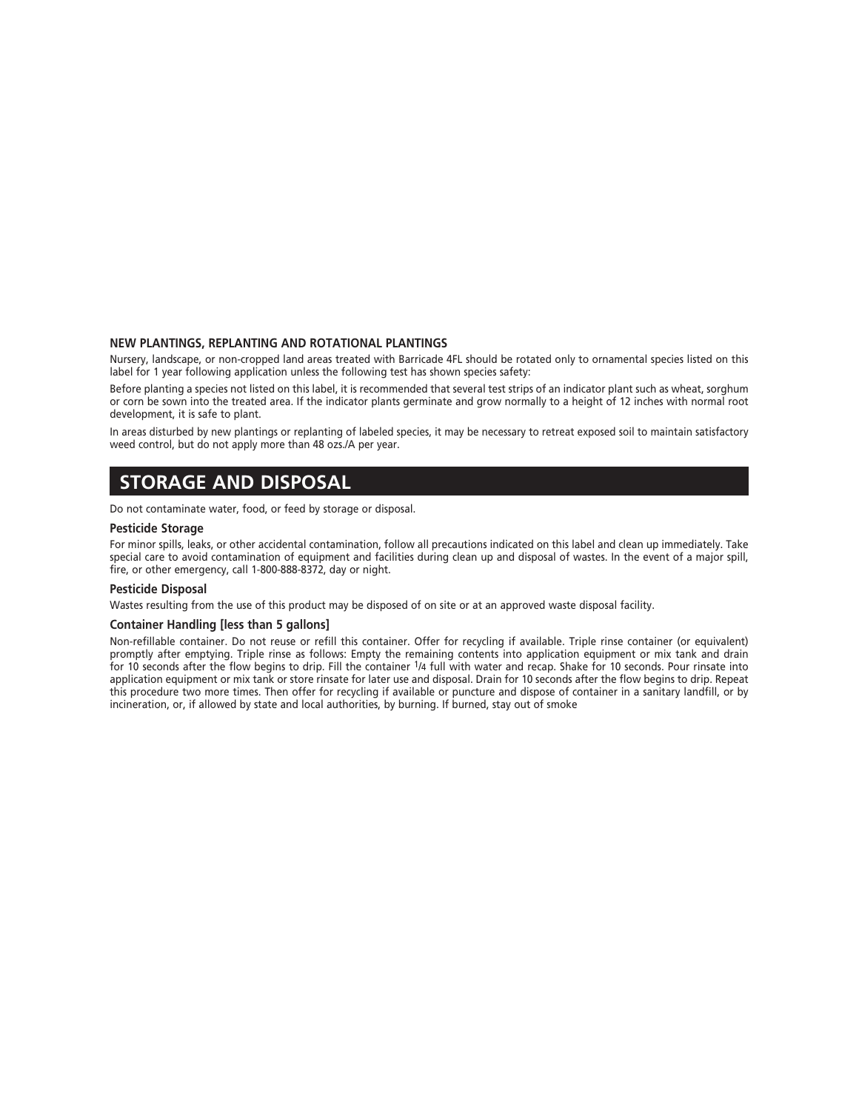## **NEW PLANTINGS, REPLANTING AND ROTATIONAL PLANTINGS**

Nursery, landscape, or non-cropped land areas treated with Barricade 4FL should be rotated only to ornamental species listed on this label for 1 year following application unless the following test has shown species safety:

Before planting a species not listed on this label, it is recommended that several test strips of an indicator plant such as wheat, sorghum or corn be sown into the treated area. If the indicator plants germinate and grow normally to a height of 12 inches with normal root development, it is safe to plant.

In areas disturbed by new plantings or replanting of labeled species, it may be necessary to retreat exposed soil to maintain satisfactory weed control, but do not apply more than 48 ozs./A per year.

## **STORAGE AND DISPOSAL**

Do not contaminate water, food, or feed by storage or disposal.

#### **Pesticide Storage**

For minor spills, leaks, or other accidental contamination, follow all precautions indicated on this label and clean up immediately. Take special care to avoid contamination of equipment and facilities during clean up and disposal of wastes. In the event of a major spill, fire, or other emergency, call 1-800-888-8372, day or night.

#### **Pesticide Disposal**

Wastes resulting from the use of this product may be disposed of on site or at an approved waste disposal facility.

#### **Container Handling [less than 5 gallons]**

Non-refillable container. Do not reuse or refill this container. Offer for recycling if available. Triple rinse container (or equivalent) promptly after emptying. Triple rinse as follows: Empty the remaining contents into application equipment or mix tank and drain for 10 seconds after the flow begins to drip. Fill the container <sup>1</sup>/4 full with water and recap. Shake for 10 seconds. Pour rinsate into application equipment or mix tank or store rinsate for later use and disposal. Drain for 10 seconds after the flow begins to drip. Repeat this procedure two more times. Then offer for recycling if available or puncture and dispose of container in a sanitary landfill, or by incineration, or, if allowed by state and local authorities, by burning. If burned, stay out of smoke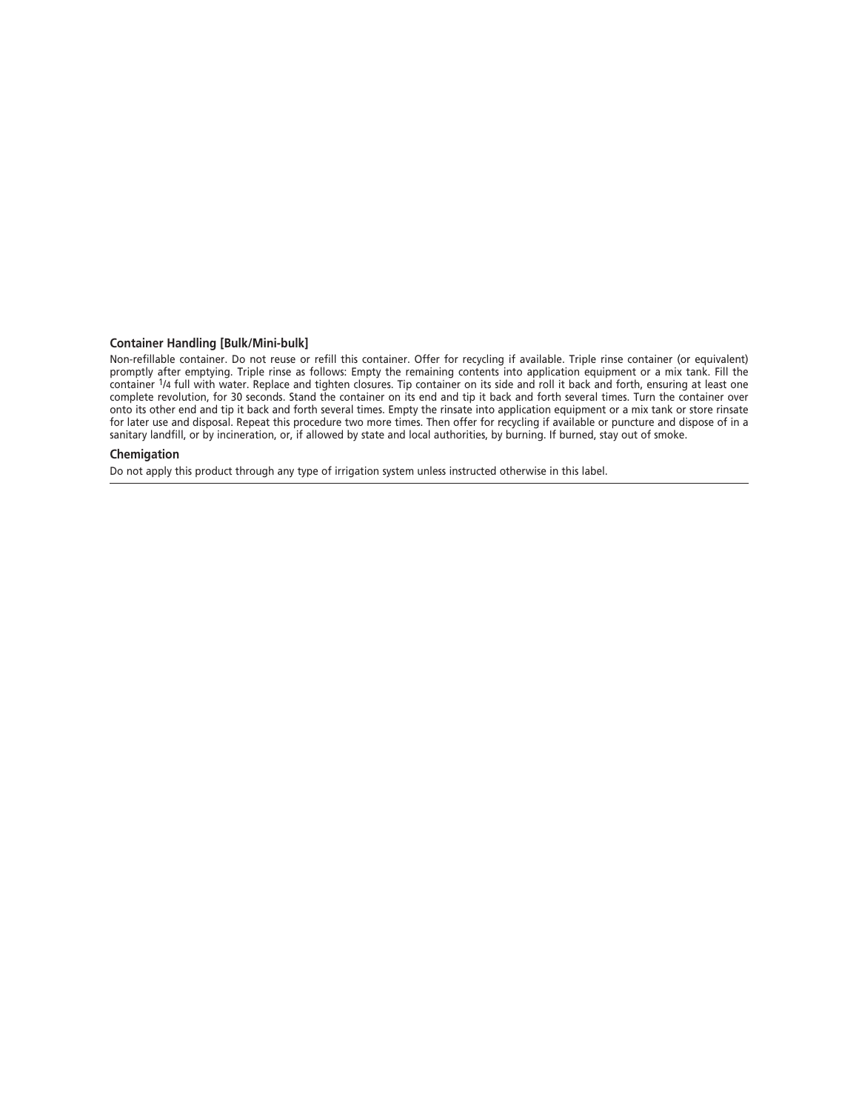## **Container Handling [Bulk/Mini-bulk]**

Non-refillable container. Do not reuse or refill this container. Offer for recycling if available. Triple rinse container (or equivalent) promptly after emptying. Triple rinse as follows: Empty the remaining contents into application equipment or a mix tank. Fill the container 1/4 full with water. Replace and tighten closures. Tip container on its side and roll it back and forth, ensuring at least one complete revolution, for 30 seconds. Stand the container on its end and tip it back and forth several times. Turn the container over onto its other end and tip it back and forth several times. Empty the rinsate into application equipment or a mix tank or store rinsate for later use and disposal. Repeat this procedure two more times. Then offer for recycling if available or puncture and dispose of in a sanitary landfill, or by incineration, or, if allowed by state and local authorities, by burning. If burned, stay out of smoke.

## **Chemigation**

Do not apply this product through any type of irrigation system unless instructed otherwise in this label.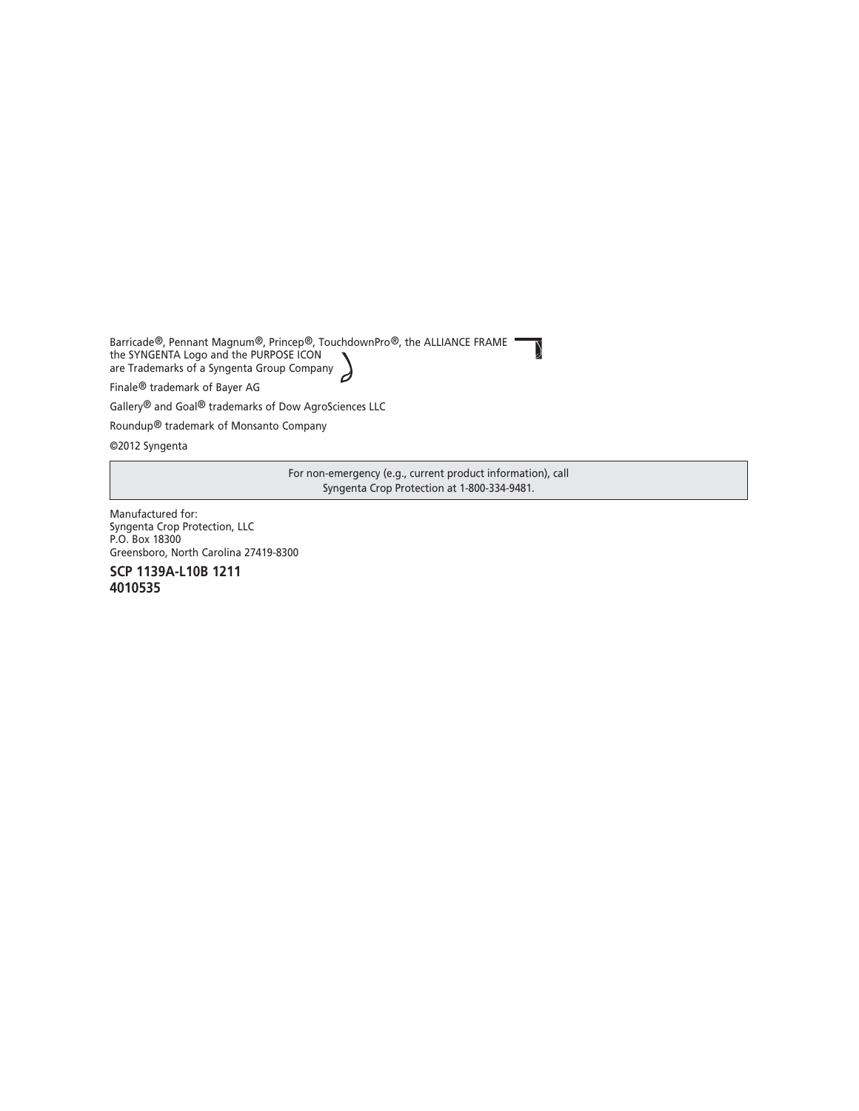Barricade®, Pennant Magnum®, Princep®, TouchdownPro®, the ALLIANCE FRAME the SYNGENTA Logo and the PURPOSE ICON are Trademarks of a Syngenta Group Company

Finale® trademark of Bayer AG

Gallery® and Goal® trademarks of Dow AgroSciences LLC

Roundup® trademark of Monsanto Company

©2012 Syngenta

For non-emergency (e.g., current product information), call Syngenta Crop Protection at 1-800-334-9481.

 $\overline{\mathbb{D}}$ 

Manufactured for: Syngenta Crop Protection, LLC P.O. Box 18300 Greensboro, North Carolina 27419-8300

**SCP 1139A-L10B 1211 4010535**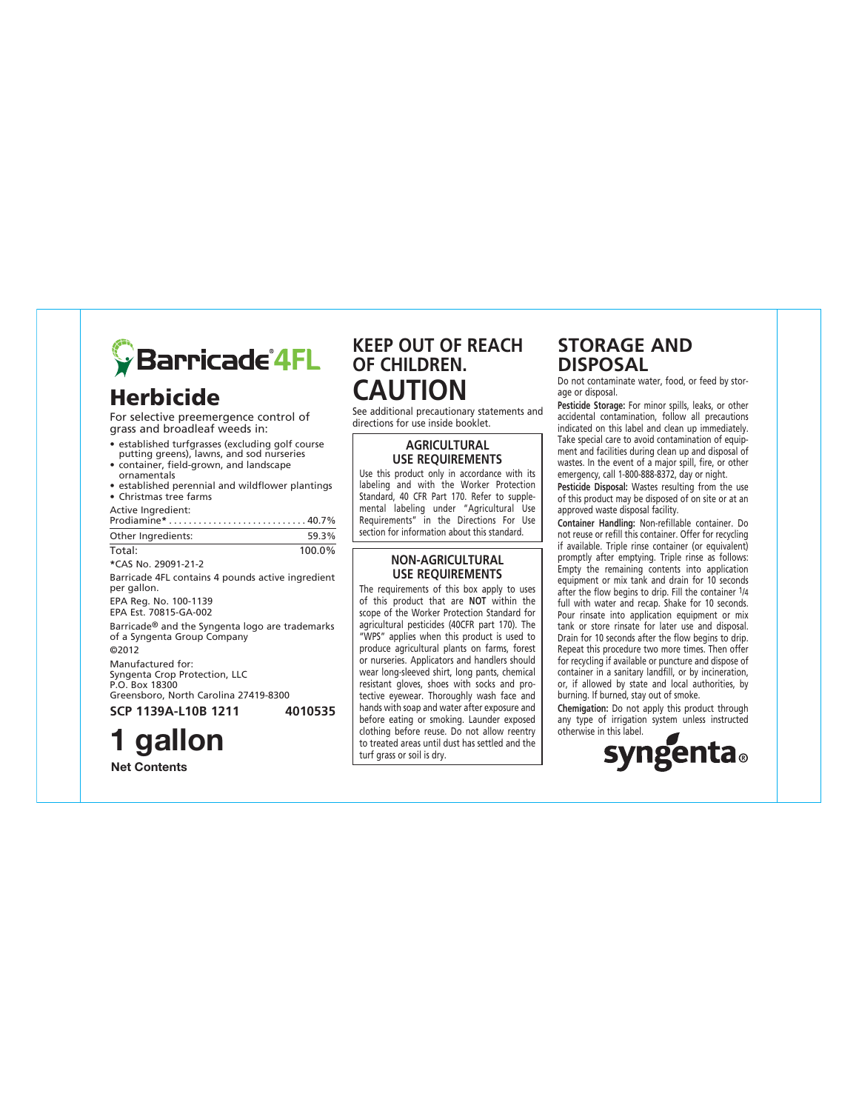# Barricade<sup>\*</sup>4FL

# **Herbicide**

For selective preemergence control of grass and broadleaf weeds in:

- established turfgrasses (excluding golf course putting greens), lawns, and sod nurseries
- container, field-grown, and landscape ornamentals
- established perennial and wildflower plantings
- Christmas tree farms

Active Ingredient:

| Active inquestion.  |  |        |
|---------------------|--|--------|
| Other Ingredients:  |  | 59.3%  |
| Total:              |  | 100.0% |
| *CAS No. 29091-21-2 |  |        |
|                     |  |        |

Barricade 4FL contains 4 pounds active ingredient per gallon. EPA Reg. No. 100-1139

EPA Est. 70815-GA-002

Barricade® and the Syngenta logo are trademarks of a Syngenta Group Company ©2012

Manufactured for: Syngenta Crop Protection, LLC P.O. Box 18300 Greensboro, North Carolina 27419-8300

**SCP 1139A-L10B 1211 4010535**

# **1 gallon**

**Net Contents**

# **KEEP OUT OF REACH OF CHILDREN. CAUTION**

See additional precautionary statements and directions for use inside booklet.

#### **AGRICULTURAL USE REQUIREMENTS**

Use this product only in accordance with its labeling and with the Worker Protection Standard, 40 CFR Part 170. Refer to supplemental labeling under "Agricultural Use Requirements" in the Directions For Use section for information about this standard.

### **NON-AGRICULTURAL USE REQUIREMENTS**

The requirements of this box apply to uses of this product that are **NOT** within the scope of the Worker Protection Standard for agricultural pesticides (40CFR part 170). The "WPS" applies when this product is used to produce agricultural plants on farms, forest or nurseries. Applicators and handlers should wear long-sleeved shirt, long pants, chemical resistant gloves, shoes with socks and protective eyewear. Thoroughly wash face and hands with soap and water after exposure and before eating or smoking. Launder exposed clothing before reuse. Do not allow reentry to treated areas until dust has settled and the turf grass or soil is dry.

## **STORAGE AND DISPOSAL**

Do not contaminate water, food, or feed by storage or disposal.

**Pesticide Storage:** For minor spills, leaks, or other accidental contamination, follow all precautions indicated on this label and clean up immediately. Take special care to avoid contamination of equipment and facilities during clean up and disposal of wastes. In the event of a major spill, fire, or other emergency, call 1-800-888-8372, day or night.

**Pesticide Disposal:** Wastes resulting from the use of this product may be disposed of on site or at an approved waste disposal facility.

**Container Handling:** Non-refillable container. Do not reuse or refill this container. Offer for recycling if available. Triple rinse container (or equivalent) promptly after emptying. Triple rinse as follows: Empty the remaining contents into application equipment or mix tank and drain for 10 seconds after the flow begins to drip. Fill the container 1/4 full with water and recap. Shake for 10 seconds. Pour rinsate into application equipment or mix tank or store rinsate for later use and disposal. Drain for 10 seconds after the flow begins to drip. Repeat this procedure two more times. Then offer for recycling if available or puncture and dispose of container in a sanitary landfill, or by incineration, or, if allowed by state and local authorities, by burning. If burned, stay out of smoke.

**Chemigation:** Do not apply this product through any type of irrigation system unless instructed